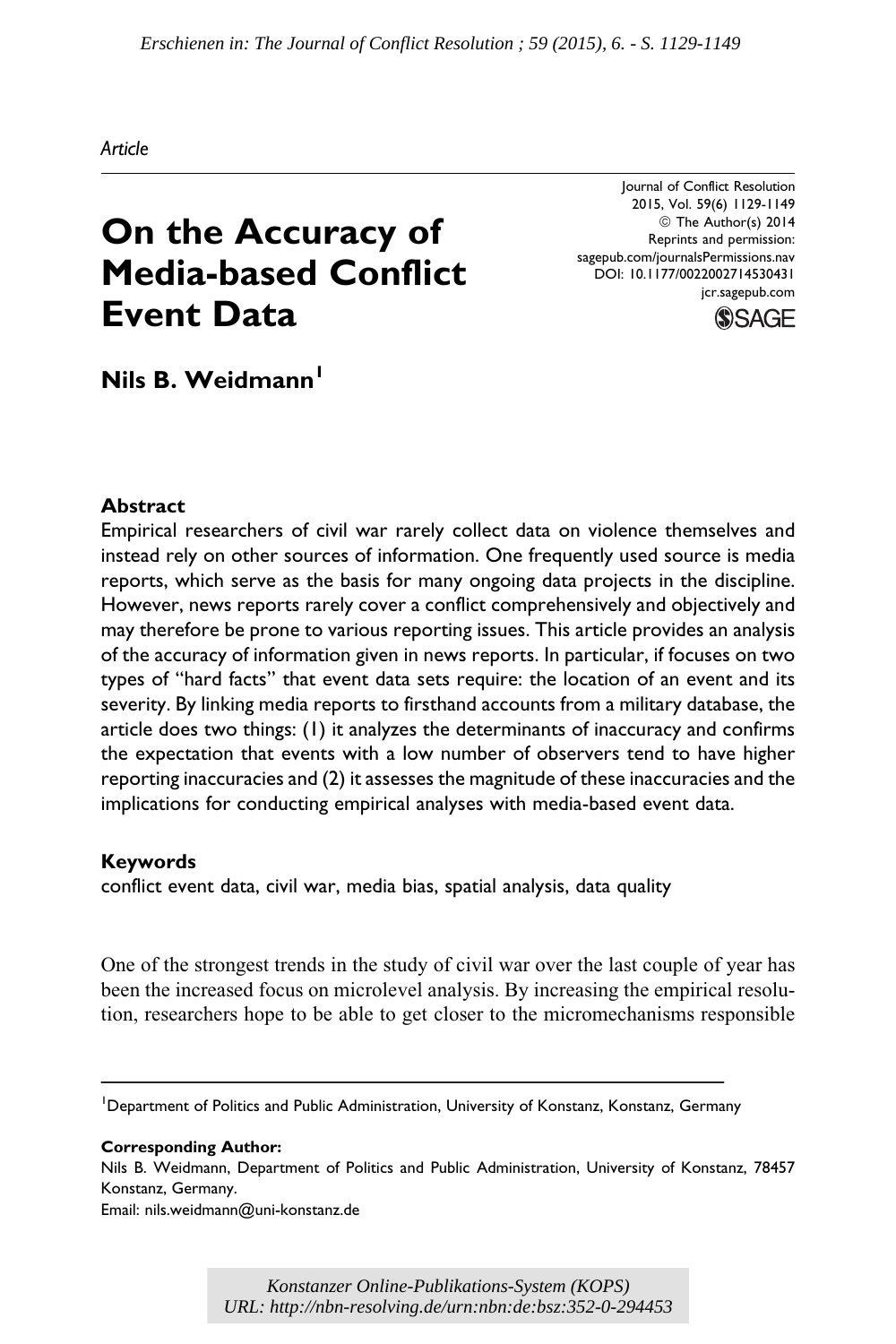Article

# On the Accuracy of Media-based Conflict Event Data

Journal of Conflict Resolution 2015, Vol. 59(6) 1129-1149 © The Author(s) 2014 Reprints and permission: [sagepub.com/journalsPermissions.nav](http://www.sagepub.com/journalsPermissions.nav) DOI: 10.1177/0022002714530431 [jcr.sagepub.com](http://jcr.sagepub.com)



## Nils B. Weidmann<sup>1</sup>

#### **Abstract**

Empirical researchers of civil war rarely collect data on violence themselves and instead rely on other sources of information. One frequently used source is media reports, which serve as the basis for many ongoing data projects in the discipline. However, news reports rarely cover a conflict comprehensively and objectively and may therefore be prone to various reporting issues. This article provides an analysis of the accuracy of information given in news reports. In particular, if focuses on two types of ''hard facts'' that event data sets require: the location of an event and its severity. By linking media reports to firsthand accounts from a military database, the article does two things: (1) it analyzes the determinants of inaccuracy and confirms the expectation that events with a low number of observers tend to have higher reporting inaccuracies and (2) it assesses the magnitude of these inaccuracies and the implications for conducting empirical analyses with media-based event data. *URschienen in: The Journal of Conflict Resolution ; 59 (2015), 6. - S. 1129-1149*<br> **Conflict**<br> **URL**<br> **Conflict**<br> **URL**<br> **Conflict**<br> **Conflict**<br> **Conflict**<br> **Conflict**<br> **Conflict**<br> **Conflict**<br> **Conflict**<br> **Conflict**<br> **Con** 

#### Keywords

conflict event data, civil war, media bias, spatial analysis, data quality

One of the strongest trends in the study of civil war over the last couple of year has been the increased focus on microlevel analysis. By increasing the empirical resolution, researchers hope to be able to get closer to the micromechanisms responsible

<sup>1</sup>Department of Politics and Public Administration, University of Konstanz, Konstanz, Germany

Corresponding Author: Nils B. Weidmann, Department of Politics and Public Administration, University of Konstanz, 78457 Konstanz, Germany. Email: nils.weidmann@uni-konstanz.de

*Konstanzer Online-Publikations-System (KOPS)*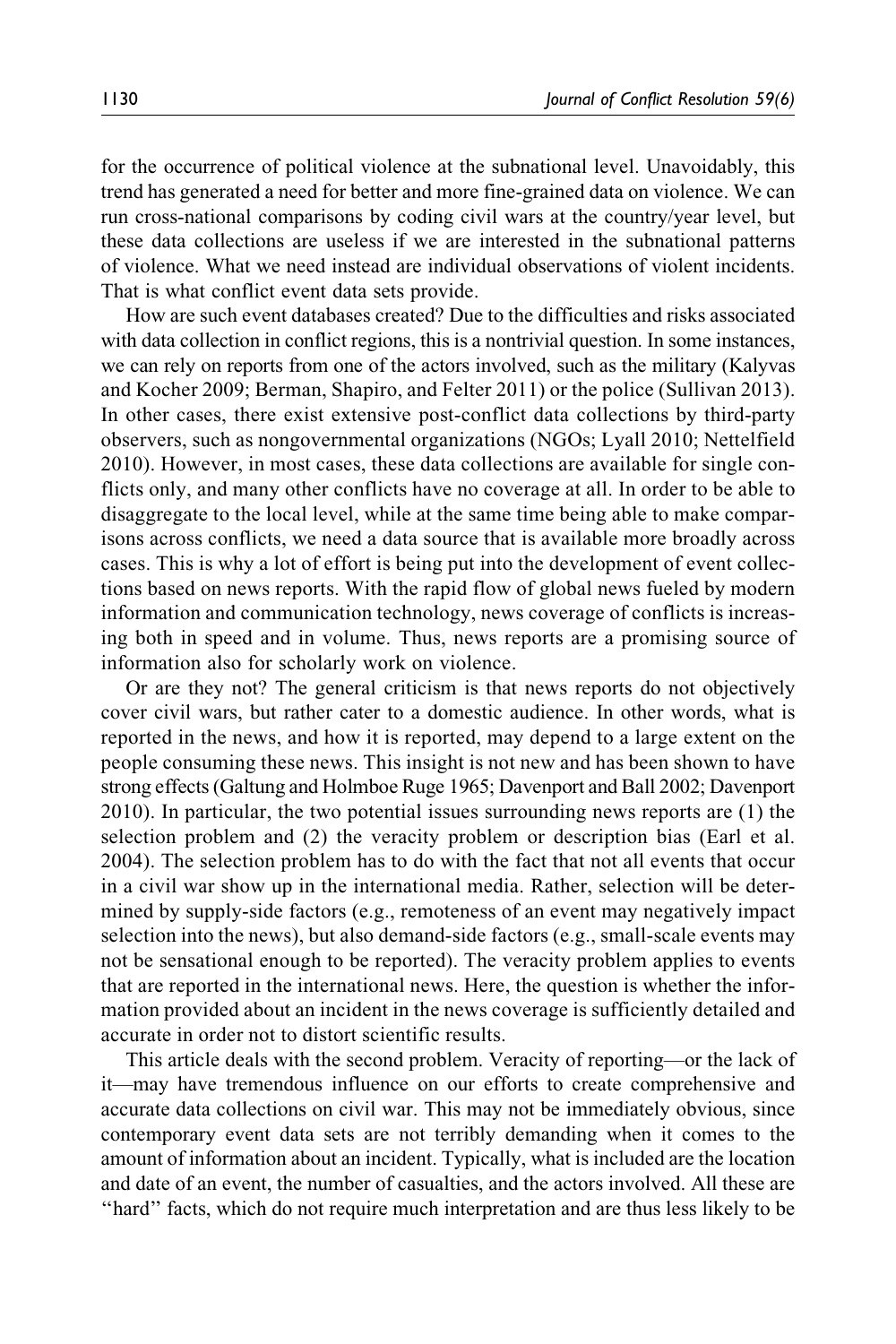for the occurrence of political violence at the subnational level. Unavoidably, this trend has generated a need for better and more fine-grained data on violence. We can run cross-national comparisons by coding civil wars at the country/year level, but these data collections are useless if we are interested in the subnational patterns of violence. What we need instead are individual observations of violent incidents. That is what conflict event data sets provide.

How are such event databases created? Due to the difficulties and risks associated with data collection in conflict regions, this is a nontrivial question. In some instances, we can rely on reports from one of the actors involved, such as the military (Kalyvas and Kocher 2009; Berman, Shapiro, and Felter 2011) or the police (Sullivan 2013). In other cases, there exist extensive post-conflict data collections by third-party observers, such as nongovernmental organizations (NGOs; Lyall 2010; Nettelfield 2010). However, in most cases, these data collections are available for single conflicts only, and many other conflicts have no coverage at all. In order to be able to disaggregate to the local level, while at the same time being able to make comparisons across conflicts, we need a data source that is available more broadly across cases. This is why a lot of effort is being put into the development of event collections based on news reports. With the rapid flow of global news fueled by modern information and communication technology, news coverage of conflicts is increasing both in speed and in volume. Thus, news reports are a promising source of information also for scholarly work on violence.

Or are they not? The general criticism is that news reports do not objectively cover civil wars, but rather cater to a domestic audience. In other words, what is reported in the news, and how it is reported, may depend to a large extent on the people consuming these news. This insight is not new and has been shown to have strong effects (Galtung and Holmboe Ruge 1965; Davenport and Ball 2002; Davenport 2010). In particular, the two potential issues surrounding news reports are (1) the selection problem and (2) the veracity problem or description bias (Earl et al. 2004). The selection problem has to do with the fact that not all events that occur in a civil war show up in the international media. Rather, selection will be determined by supply-side factors (e.g., remoteness of an event may negatively impact selection into the news), but also demand-side factors (e.g., small-scale events may not be sensational enough to be reported). The veracity problem applies to events that are reported in the international news. Here, the question is whether the information provided about an incident in the news coverage is sufficiently detailed and accurate in order not to distort scientific results.

This article deals with the second problem. Veracity of reporting—or the lack of it—may have tremendous influence on our efforts to create comprehensive and accurate data collections on civil war. This may not be immediately obvious, since contemporary event data sets are not terribly demanding when it comes to the amount of information about an incident. Typically, what is included are the location and date of an event, the number of casualties, and the actors involved. All these are "hard" facts, which do not require much interpretation and are thus less likely to be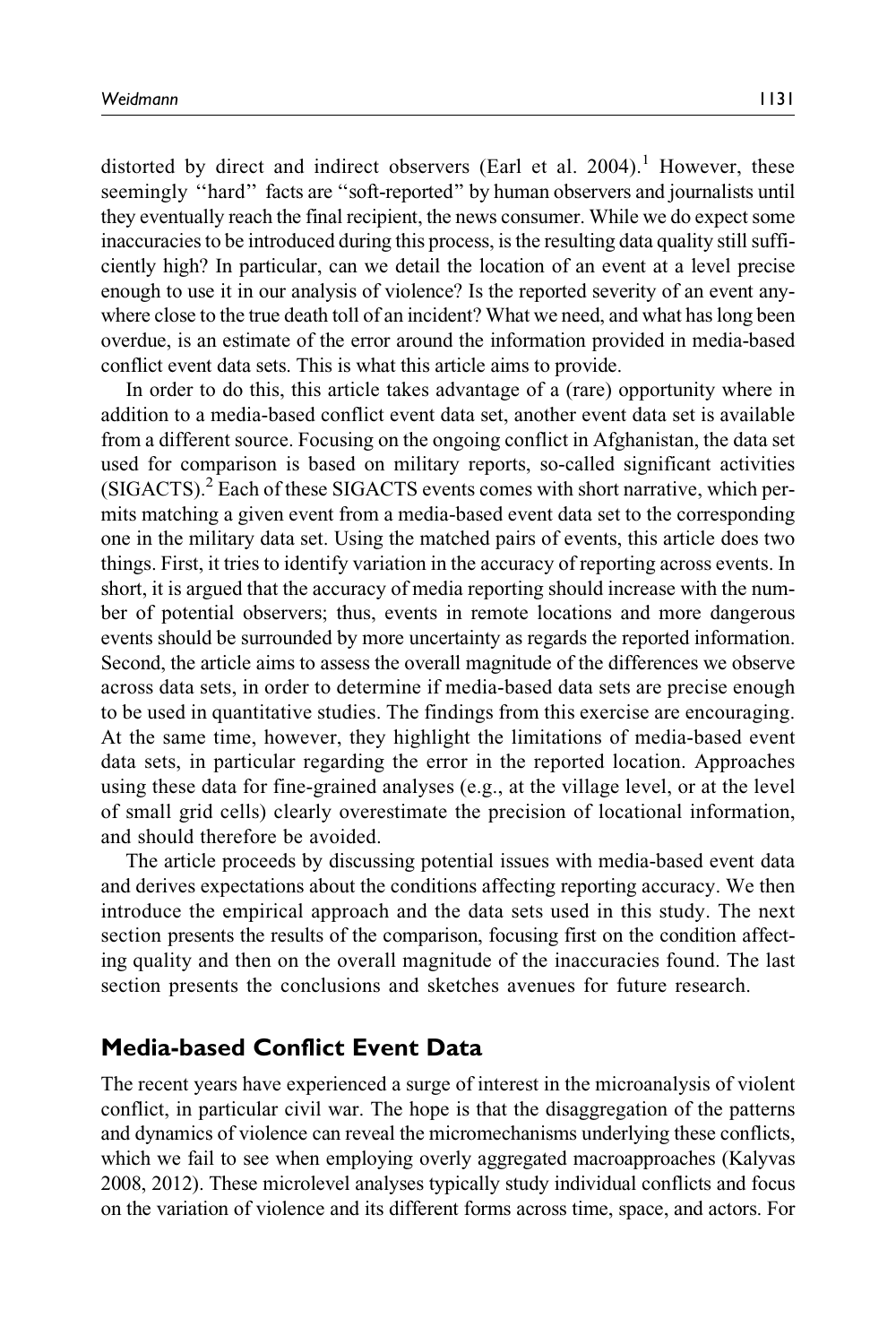distorted by direct and indirect observers (Earl et al.  $2004$ ).<sup>1</sup> However, these seemingly ''hard'' facts are ''soft-reported'' by human observers and journalists until they eventually reach the final recipient, the news consumer. While we do expect some inaccuracies to be introduced during this process, is the resulting data quality still sufficiently high? In particular, can we detail the location of an event at a level precise enough to use it in our analysis of violence? Is the reported severity of an event anywhere close to the true death toll of an incident? What we need, and what has long been overdue, is an estimate of the error around the information provided in media-based conflict event data sets. This is what this article aims to provide.

In order to do this, this article takes advantage of a (rare) opportunity where in addition to a media-based conflict event data set, another event data set is available from a different source. Focusing on the ongoing conflict in Afghanistan, the data set used for comparison is based on military reports, so-called significant activities (SIGACTS).<sup>2</sup> Each of these SIGACTS events comes with short narrative, which permits matching a given event from a media-based event data set to the corresponding one in the military data set. Using the matched pairs of events, this article does two things. First, it tries to identify variation in the accuracy of reporting across events. In short, it is argued that the accuracy of media reporting should increase with the number of potential observers; thus, events in remote locations and more dangerous events should be surrounded by more uncertainty as regards the reported information. Second, the article aims to assess the overall magnitude of the differences we observe across data sets, in order to determine if media-based data sets are precise enough to be used in quantitative studies. The findings from this exercise are encouraging. At the same time, however, they highlight the limitations of media-based event data sets, in particular regarding the error in the reported location. Approaches using these data for fine-grained analyses (e.g., at the village level, or at the level of small grid cells) clearly overestimate the precision of locational information, and should therefore be avoided.

The article proceeds by discussing potential issues with media-based event data and derives expectations about the conditions affecting reporting accuracy. We then introduce the empirical approach and the data sets used in this study. The next section presents the results of the comparison, focusing first on the condition affecting quality and then on the overall magnitude of the inaccuracies found. The last section presents the conclusions and sketches avenues for future research.

## Media-based Conflict Event Data

The recent years have experienced a surge of interest in the microanalysis of violent conflict, in particular civil war. The hope is that the disaggregation of the patterns and dynamics of violence can reveal the micromechanisms underlying these conflicts, which we fail to see when employing overly aggregated macroapproaches (Kalyvas 2008, 2012). These microlevel analyses typically study individual conflicts and focus on the variation of violence and its different forms across time, space, and actors. For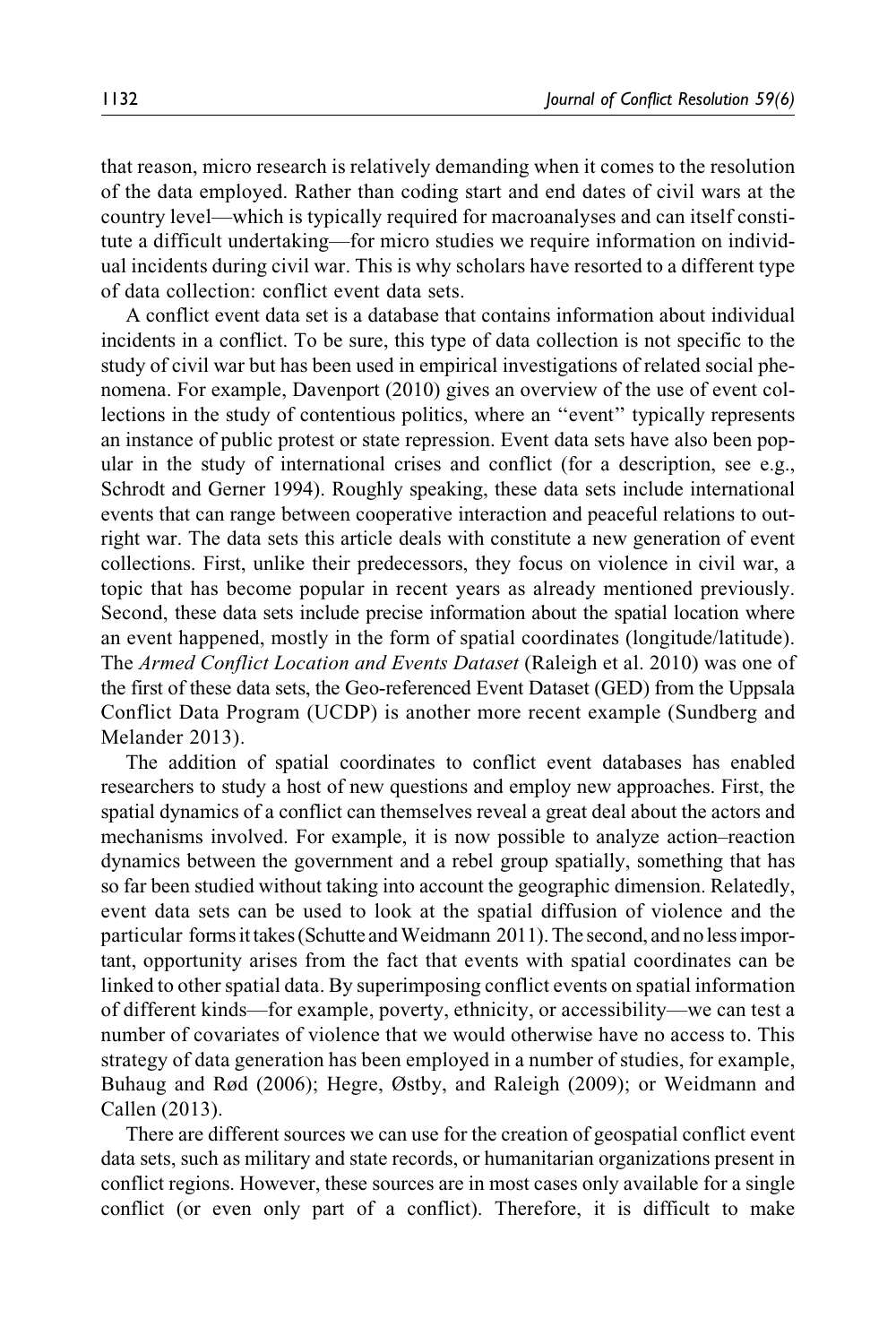that reason, micro research is relatively demanding when it comes to the resolution of the data employed. Rather than coding start and end dates of civil wars at the country level—which is typically required for macroanalyses and can itself constitute a difficult undertaking—for micro studies we require information on individual incidents during civil war. This is why scholars have resorted to a different type of data collection: conflict event data sets.

A conflict event data set is a database that contains information about individual incidents in a conflict. To be sure, this type of data collection is not specific to the study of civil war but has been used in empirical investigations of related social phenomena. For example, Davenport (2010) gives an overview of the use of event collections in the study of contentious politics, where an ''event'' typically represents an instance of public protest or state repression. Event data sets have also been popular in the study of international crises and conflict (for a description, see e.g., Schrodt and Gerner 1994). Roughly speaking, these data sets include international events that can range between cooperative interaction and peaceful relations to outright war. The data sets this article deals with constitute a new generation of event collections. First, unlike their predecessors, they focus on violence in civil war, a topic that has become popular in recent years as already mentioned previously. Second, these data sets include precise information about the spatial location where an event happened, mostly in the form of spatial coordinates (longitude/latitude). The Armed Conflict Location and Events Dataset (Raleigh et al. 2010) was one of the first of these data sets, the Geo-referenced Event Dataset (GED) from the Uppsala Conflict Data Program (UCDP) is another more recent example (Sundberg and Melander 2013).

The addition of spatial coordinates to conflict event databases has enabled researchers to study a host of new questions and employ new approaches. First, the spatial dynamics of a conflict can themselves reveal a great deal about the actors and mechanisms involved. For example, it is now possible to analyze action–reaction dynamics between the government and a rebel group spatially, something that has so far been studied without taking into account the geographic dimension. Relatedly, event data sets can be used to look at the spatial diffusion of violence and the particular forms it takes (Schutte and Weidmann 2011). The second, and no less important, opportunity arises from the fact that events with spatial coordinates can be linked to other spatial data. By superimposing conflict events on spatial information of different kinds—for example, poverty, ethnicity, or accessibility—we can test a number of covariates of violence that we would otherwise have no access to. This strategy of data generation has been employed in a number of studies, for example, Buhaug and Rød (2006); Hegre, Østby, and Raleigh (2009); or Weidmann and Callen (2013).

There are different sources we can use for the creation of geospatial conflict event data sets, such as military and state records, or humanitarian organizations present in conflict regions. However, these sources are in most cases only available for a single conflict (or even only part of a conflict). Therefore, it is difficult to make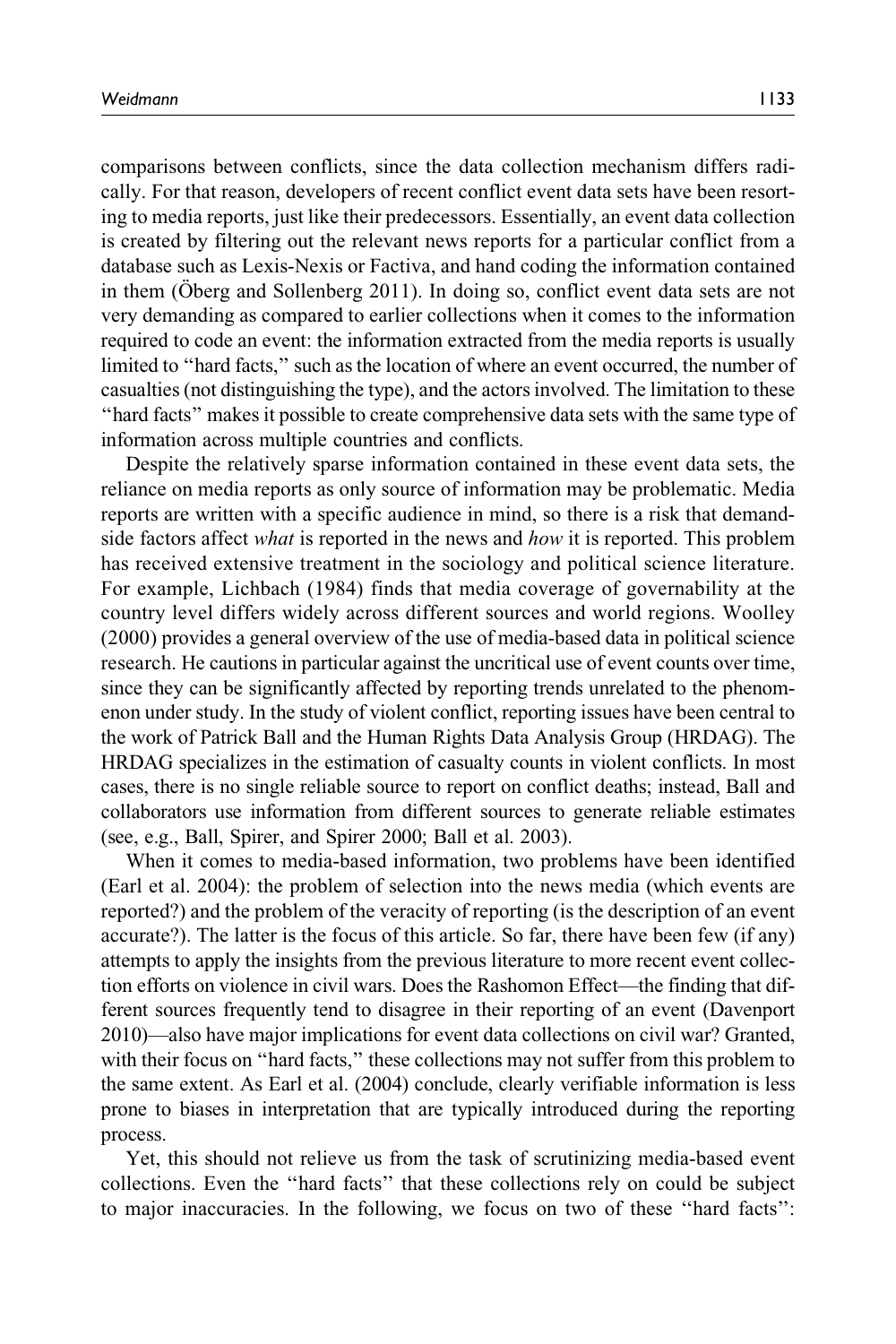comparisons between conflicts, since the data collection mechanism differs radically. For that reason, developers of recent conflict event data sets have been resorting to media reports, just like their predecessors. Essentially, an event data collection is created by filtering out the relevant news reports for a particular conflict from a database such as Lexis-Nexis or Factiva, and hand coding the information contained in them (Oberg and Sollenberg 2011). In doing so, conflict event data sets are not very demanding as compared to earlier collections when it comes to the information required to code an event: the information extracted from the media reports is usually limited to ''hard facts,'' such as the location of where an event occurred, the number of casualties (not distinguishing the type), and the actors involved. The limitation to these ''hard facts'' makes it possible to create comprehensive data sets with the same type of information across multiple countries and conflicts.

Despite the relatively sparse information contained in these event data sets, the reliance on media reports as only source of information may be problematic. Media reports are written with a specific audience in mind, so there is a risk that demandside factors affect *what* is reported in the news and *how* it is reported. This problem has received extensive treatment in the sociology and political science literature. For example, Lichbach (1984) finds that media coverage of governability at the country level differs widely across different sources and world regions. Woolley (2000) provides a general overview of the use of media-based data in political science research. He cautions in particular against the uncritical use of event counts over time, since they can be significantly affected by reporting trends unrelated to the phenomenon under study. In the study of violent conflict, reporting issues have been central to the work of Patrick Ball and the Human Rights Data Analysis Group (HRDAG). The HRDAG specializes in the estimation of casualty counts in violent conflicts. In most cases, there is no single reliable source to report on conflict deaths; instead, Ball and collaborators use information from different sources to generate reliable estimates (see, e.g., Ball, Spirer, and Spirer 2000; Ball et al. 2003).

When it comes to media-based information, two problems have been identified (Earl et al. 2004): the problem of selection into the news media (which events are reported?) and the problem of the veracity of reporting (is the description of an event accurate?). The latter is the focus of this article. So far, there have been few (if any) attempts to apply the insights from the previous literature to more recent event collection efforts on violence in civil wars. Does the Rashomon Effect—the finding that different sources frequently tend to disagree in their reporting of an event (Davenport 2010)—also have major implications for event data collections on civil war? Granted, with their focus on "hard facts," these collections may not suffer from this problem to the same extent. As Earl et al. (2004) conclude, clearly verifiable information is less prone to biases in interpretation that are typically introduced during the reporting process.

Yet, this should not relieve us from the task of scrutinizing media-based event collections. Even the ''hard facts'' that these collections rely on could be subject to major inaccuracies. In the following, we focus on two of these ''hard facts'':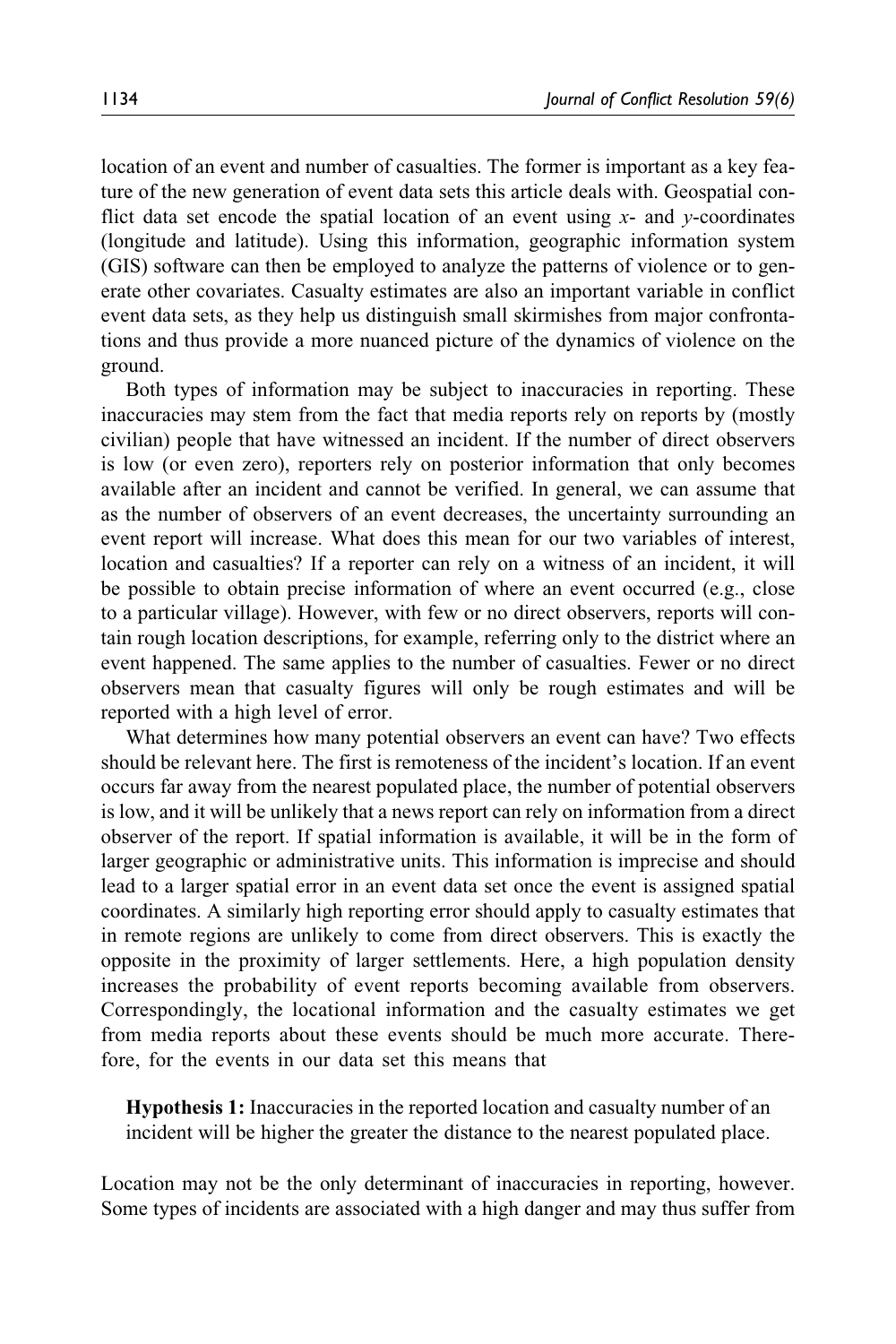location of an event and number of casualties. The former is important as a key feature of the new generation of event data sets this article deals with. Geospatial conflict data set encode the spatial location of an event using  $x$ - and  $y$ -coordinates (longitude and latitude). Using this information, geographic information system (GIS) software can then be employed to analyze the patterns of violence or to generate other covariates. Casualty estimates are also an important variable in conflict event data sets, as they help us distinguish small skirmishes from major confrontations and thus provide a more nuanced picture of the dynamics of violence on the ground.

Both types of information may be subject to inaccuracies in reporting. These inaccuracies may stem from the fact that media reports rely on reports by (mostly civilian) people that have witnessed an incident. If the number of direct observers is low (or even zero), reporters rely on posterior information that only becomes available after an incident and cannot be verified. In general, we can assume that as the number of observers of an event decreases, the uncertainty surrounding an event report will increase. What does this mean for our two variables of interest, location and casualties? If a reporter can rely on a witness of an incident, it will be possible to obtain precise information of where an event occurred (e.g., close to a particular village). However, with few or no direct observers, reports will contain rough location descriptions, for example, referring only to the district where an event happened. The same applies to the number of casualties. Fewer or no direct observers mean that casualty figures will only be rough estimates and will be reported with a high level of error.

What determines how many potential observers an event can have? Two effects should be relevant here. The first is remoteness of the incident's location. If an event occurs far away from the nearest populated place, the number of potential observers is low, and it will be unlikely that a news report can rely on information from a direct observer of the report. If spatial information is available, it will be in the form of larger geographic or administrative units. This information is imprecise and should lead to a larger spatial error in an event data set once the event is assigned spatial coordinates. A similarly high reporting error should apply to casualty estimates that in remote regions are unlikely to come from direct observers. This is exactly the opposite in the proximity of larger settlements. Here, a high population density increases the probability of event reports becoming available from observers. Correspondingly, the locational information and the casualty estimates we get from media reports about these events should be much more accurate. Therefore, for the events in our data set this means that

Hypothesis 1: Inaccuracies in the reported location and casualty number of an incident will be higher the greater the distance to the nearest populated place.

Location may not be the only determinant of inaccuracies in reporting, however. Some types of incidents are associated with a high danger and may thus suffer from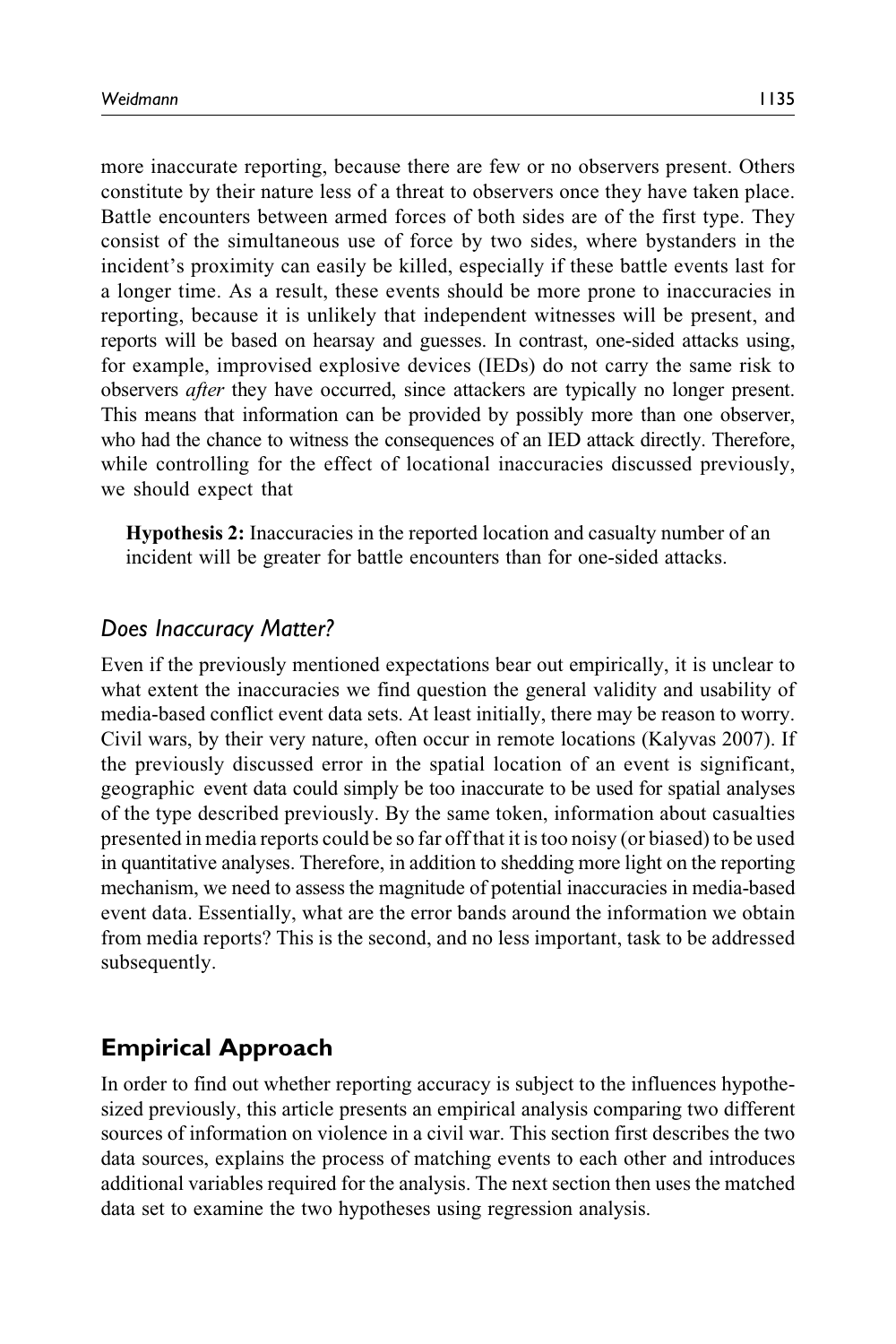more inaccurate reporting, because there are few or no observers present. Others constitute by their nature less of a threat to observers once they have taken place. Battle encounters between armed forces of both sides are of the first type. They consist of the simultaneous use of force by two sides, where bystanders in the incident's proximity can easily be killed, especially if these battle events last for a longer time. As a result, these events should be more prone to inaccuracies in reporting, because it is unlikely that independent witnesses will be present, and reports will be based on hearsay and guesses. In contrast, one-sided attacks using, for example, improvised explosive devices (IEDs) do not carry the same risk to observers after they have occurred, since attackers are typically no longer present. This means that information can be provided by possibly more than one observer, who had the chance to witness the consequences of an IED attack directly. Therefore, while controlling for the effect of locational inaccuracies discussed previously, we should expect that

Hypothesis 2: Inaccuracies in the reported location and casualty number of an incident will be greater for battle encounters than for one-sided attacks.

#### Does Inaccuracy Matter?

Even if the previously mentioned expectations bear out empirically, it is unclear to what extent the inaccuracies we find question the general validity and usability of media-based conflict event data sets. At least initially, there may be reason to worry. Civil wars, by their very nature, often occur in remote locations (Kalyvas 2007). If the previously discussed error in the spatial location of an event is significant, geographic event data could simply be too inaccurate to be used for spatial analyses of the type described previously. By the same token, information about casualties presented in media reports could be so far off that it is too noisy (or biased) to be used in quantitative analyses. Therefore, in addition to shedding more light on the reporting mechanism, we need to assess the magnitude of potential inaccuracies in media-based event data. Essentially, what are the error bands around the information we obtain from media reports? This is the second, and no less important, task to be addressed subsequently.

## Empirical Approach

In order to find out whether reporting accuracy is subject to the influences hypothesized previously, this article presents an empirical analysis comparing two different sources of information on violence in a civil war. This section first describes the two data sources, explains the process of matching events to each other and introduces additional variables required for the analysis. The next section then uses the matched data set to examine the two hypotheses using regression analysis.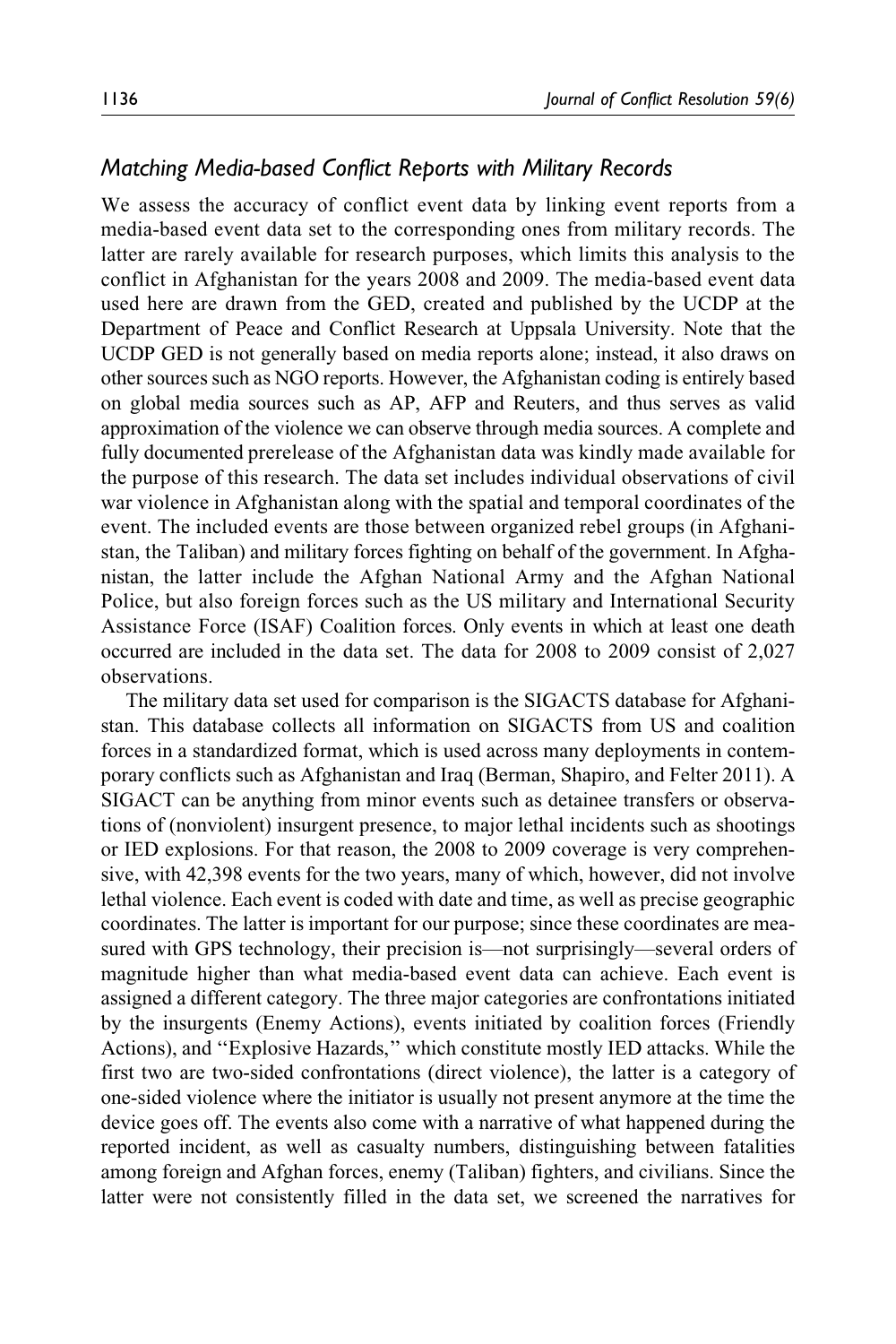## Matching Media-based Conflict Reports with Military Records

We assess the accuracy of conflict event data by linking event reports from a media-based event data set to the corresponding ones from military records. The latter are rarely available for research purposes, which limits this analysis to the conflict in Afghanistan for the years 2008 and 2009. The media-based event data used here are drawn from the GED, created and published by the UCDP at the Department of Peace and Conflict Research at Uppsala University. Note that the UCDP GED is not generally based on media reports alone; instead, it also draws on other sources such as NGO reports. However, the Afghanistan coding is entirely based on global media sources such as AP, AFP and Reuters, and thus serves as valid approximation of the violence we can observe through media sources. A complete and fully documented prerelease of the Afghanistan data was kindly made available for the purpose of this research. The data set includes individual observations of civil war violence in Afghanistan along with the spatial and temporal coordinates of the event. The included events are those between organized rebel groups (in Afghanistan, the Taliban) and military forces fighting on behalf of the government. In Afghanistan, the latter include the Afghan National Army and the Afghan National Police, but also foreign forces such as the US military and International Security Assistance Force (ISAF) Coalition forces. Only events in which at least one death occurred are included in the data set. The data for 2008 to 2009 consist of 2,027 observations.

The military data set used for comparison is the SIGACTS database for Afghanistan. This database collects all information on SIGACTS from US and coalition forces in a standardized format, which is used across many deployments in contemporary conflicts such as Afghanistan and Iraq (Berman, Shapiro, and Felter 2011). A SIGACT can be anything from minor events such as detainee transfers or observations of (nonviolent) insurgent presence, to major lethal incidents such as shootings or IED explosions. For that reason, the 2008 to 2009 coverage is very comprehensive, with 42,398 events for the two years, many of which, however, did not involve lethal violence. Each event is coded with date and time, as well as precise geographic coordinates. The latter is important for our purpose; since these coordinates are measured with GPS technology, their precision is—not surprisingly—several orders of magnitude higher than what media-based event data can achieve. Each event is assigned a different category. The three major categories are confrontations initiated by the insurgents (Enemy Actions), events initiated by coalition forces (Friendly Actions), and ''Explosive Hazards,'' which constitute mostly IED attacks. While the first two are two-sided confrontations (direct violence), the latter is a category of one-sided violence where the initiator is usually not present anymore at the time the device goes off. The events also come with a narrative of what happened during the reported incident, as well as casualty numbers, distinguishing between fatalities among foreign and Afghan forces, enemy (Taliban) fighters, and civilians. Since the latter were not consistently filled in the data set, we screened the narratives for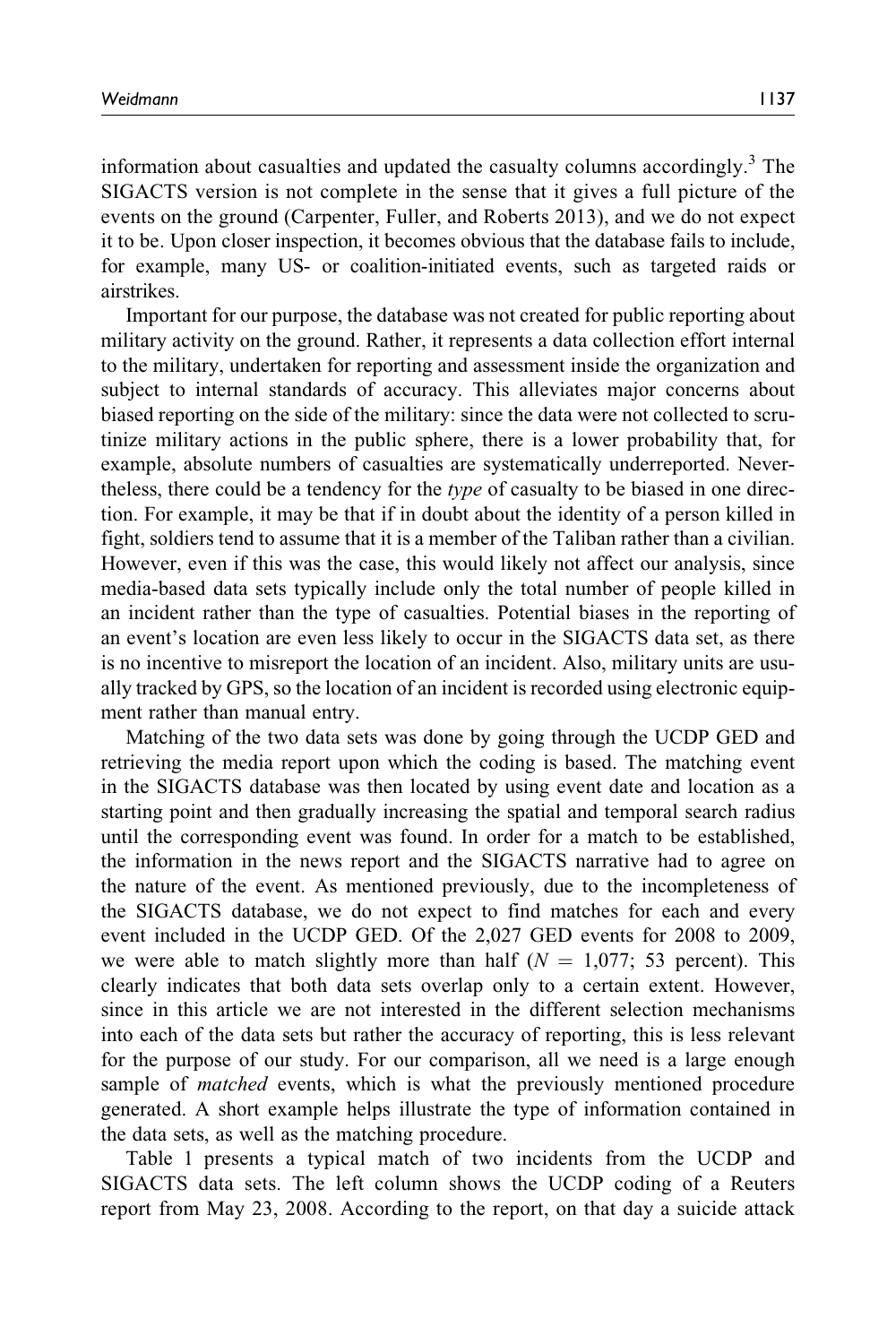information about casualties and updated the casualty columns accordingly.<sup>3</sup> The SIGACTS version is not complete in the sense that it gives a full picture of the events on the ground (Carpenter, Fuller, and Roberts 2013), and we do not expect it to be. Upon closer inspection, it becomes obvious that the database fails to include, for example, many US- or coalition-initiated events, such as targeted raids or airstrikes.

Important for our purpose, the database was not created for public reporting about military activity on the ground. Rather, it represents a data collection effort internal to the military, undertaken for reporting and assessment inside the organization and subject to internal standards of accuracy. This alleviates major concerns about biased reporting on the side of the military: since the data were not collected to scrutinize military actions in the public sphere, there is a lower probability that, for example, absolute numbers of casualties are systematically underreported. Nevertheless, there could be a tendency for the type of casualty to be biased in one direction. For example, it may be that if in doubt about the identity of a person killed in fight, soldiers tend to assume that it is a member of the Taliban rather than a civilian. However, even if this was the case, this would likely not affect our analysis, since media-based data sets typically include only the total number of people killed in an incident rather than the type of casualties. Potential biases in the reporting of an event's location are even less likely to occur in the SIGACTS data set, as there is no incentive to misreport the location of an incident. Also, military units are usually tracked by GPS, so the location of an incident is recorded using electronic equipment rather than manual entry.

Matching of the two data sets was done by going through the UCDP GED and retrieving the media report upon which the coding is based. The matching event in the SIGACTS database was then located by using event date and location as a starting point and then gradually increasing the spatial and temporal search radius until the corresponding event was found. In order for a match to be established, the information in the news report and the SIGACTS narrative had to agree on the nature of the event. As mentioned previously, due to the incompleteness of the SIGACTS database, we do not expect to find matches for each and every event included in the UCDP GED. Of the 2,027 GED events for 2008 to 2009, we were able to match slightly more than half  $(N = 1,077; 53$  percent). This clearly indicates that both data sets overlap only to a certain extent. However, since in this article we are not interested in the different selection mechanisms into each of the data sets but rather the accuracy of reporting, this is less relevant for the purpose of our study. For our comparison, all we need is a large enough sample of *matched* events, which is what the previously mentioned procedure generated. A short example helps illustrate the type of information contained in the data sets, as well as the matching procedure.

Table 1 presents a typical match of two incidents from the UCDP and SIGACTS data sets. The left column shows the UCDP coding of a Reuters report from May 23, 2008. According to the report, on that day a suicide attack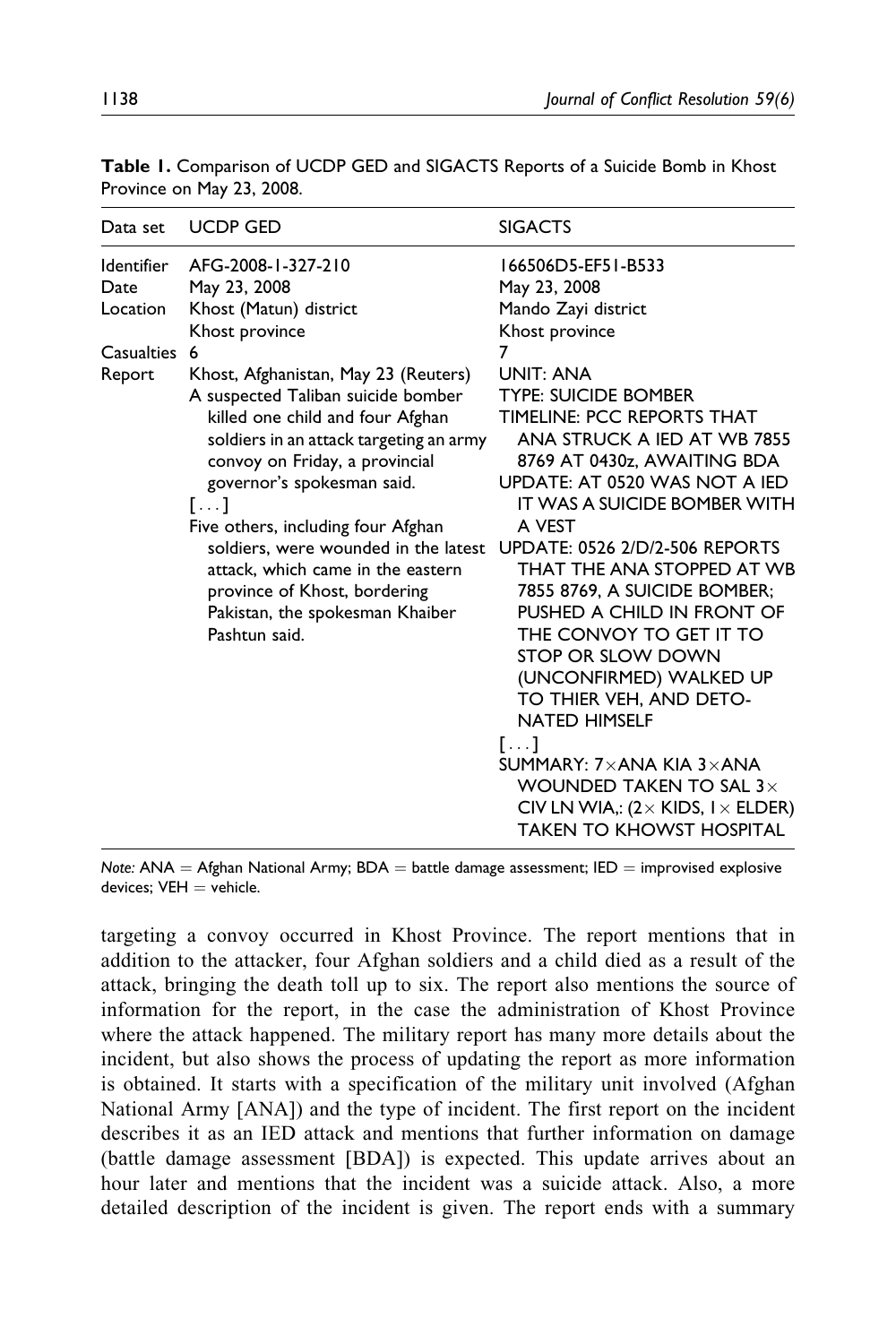| Data set               | <b>UCDP GED</b>                                                                                                                                                                                                                                                                                                                                                                                                                                                  | <b>SIGACTS</b>                                                                                                                                                                                                                                                                                                                                                                                                                                                                                                                                                                                          |
|------------------------|------------------------------------------------------------------------------------------------------------------------------------------------------------------------------------------------------------------------------------------------------------------------------------------------------------------------------------------------------------------------------------------------------------------------------------------------------------------|---------------------------------------------------------------------------------------------------------------------------------------------------------------------------------------------------------------------------------------------------------------------------------------------------------------------------------------------------------------------------------------------------------------------------------------------------------------------------------------------------------------------------------------------------------------------------------------------------------|
| Identifier<br>Date     | AFG-2008-1-327-210<br>May 23, 2008                                                                                                                                                                                                                                                                                                                                                                                                                               | 166506D5-EF51-B533<br>May 23, 2008                                                                                                                                                                                                                                                                                                                                                                                                                                                                                                                                                                      |
| Location               | Khost (Matun) district                                                                                                                                                                                                                                                                                                                                                                                                                                           | Mando Zayi district                                                                                                                                                                                                                                                                                                                                                                                                                                                                                                                                                                                     |
| Casualties 6<br>Report | Khost province<br>Khost, Afghanistan, May 23 (Reuters)<br>A suspected Taliban suicide bomber<br>killed one child and four Afghan<br>soldiers in an attack targeting an army<br>convoy on Friday, a provincial<br>governor's spokesman said.<br>$[\ldots]$<br>Five others, including four Afghan<br>soldiers, were wounded in the latest<br>attack, which came in the eastern<br>province of Khost, bordering<br>Pakistan, the spokesman Khaiber<br>Pashtun said. | Khost province<br>7<br>UNIT: ANA<br><b>TYPE: SUICIDE BOMBER</b><br>TIMELINE: PCC REPORTS THAT<br>ANA STRUCK A IED AT WB 7855<br>8769 AT 0430z, AWAITING BDA<br>UPDATE: AT 0520 WAS NOT A IED<br>IT WAS A SUICIDE BOMBER WITH<br>A VEST<br><b>UPDATE: 0526 2/D/2-506 REPORTS</b><br>THAT THE ANA STOPPED AT WB<br>7855 8769, A SUICIDE BOMBER;<br>PUSHED A CHILD IN FRONT OF<br>THE CONVOY TO GET IT TO<br>STOP OR SLOW DOWN<br>(UNCONFIRMED) WALKED UP<br>TO THIER VEH, AND DETO-<br><b>NATED HIMSELF</b><br>$[\ldots]$<br>SUMMARY: $7\times$ ANA KIA 3 $\times$ ANA<br>WOUNDED TAKEN TO SAL 3 $\times$ |
|                        |                                                                                                                                                                                                                                                                                                                                                                                                                                                                  | CIV LN WIA,: $(2 \times$ KIDS, $1 \times$ ELDER)<br><b>TAKEN TO KHOWST HOSPITAL</b>                                                                                                                                                                                                                                                                                                                                                                                                                                                                                                                     |

Table 1. Comparison of UCDP GED and SIGACTS Reports of a Suicide Bomb in Khost Province on May 23, 2008.

Note:  $ANA = Afghan National Army; BDA = battle damage assessment; IED = improved explosive$  $devices: VEH = vehicle.$ 

targeting a convoy occurred in Khost Province. The report mentions that in addition to the attacker, four Afghan soldiers and a child died as a result of the attack, bringing the death toll up to six. The report also mentions the source of information for the report, in the case the administration of Khost Province where the attack happened. The military report has many more details about the incident, but also shows the process of updating the report as more information is obtained. It starts with a specification of the military unit involved (Afghan National Army [ANA]) and the type of incident. The first report on the incident describes it as an IED attack and mentions that further information on damage (battle damage assessment [BDA]) is expected. This update arrives about an hour later and mentions that the incident was a suicide attack. Also, a more detailed description of the incident is given. The report ends with a summary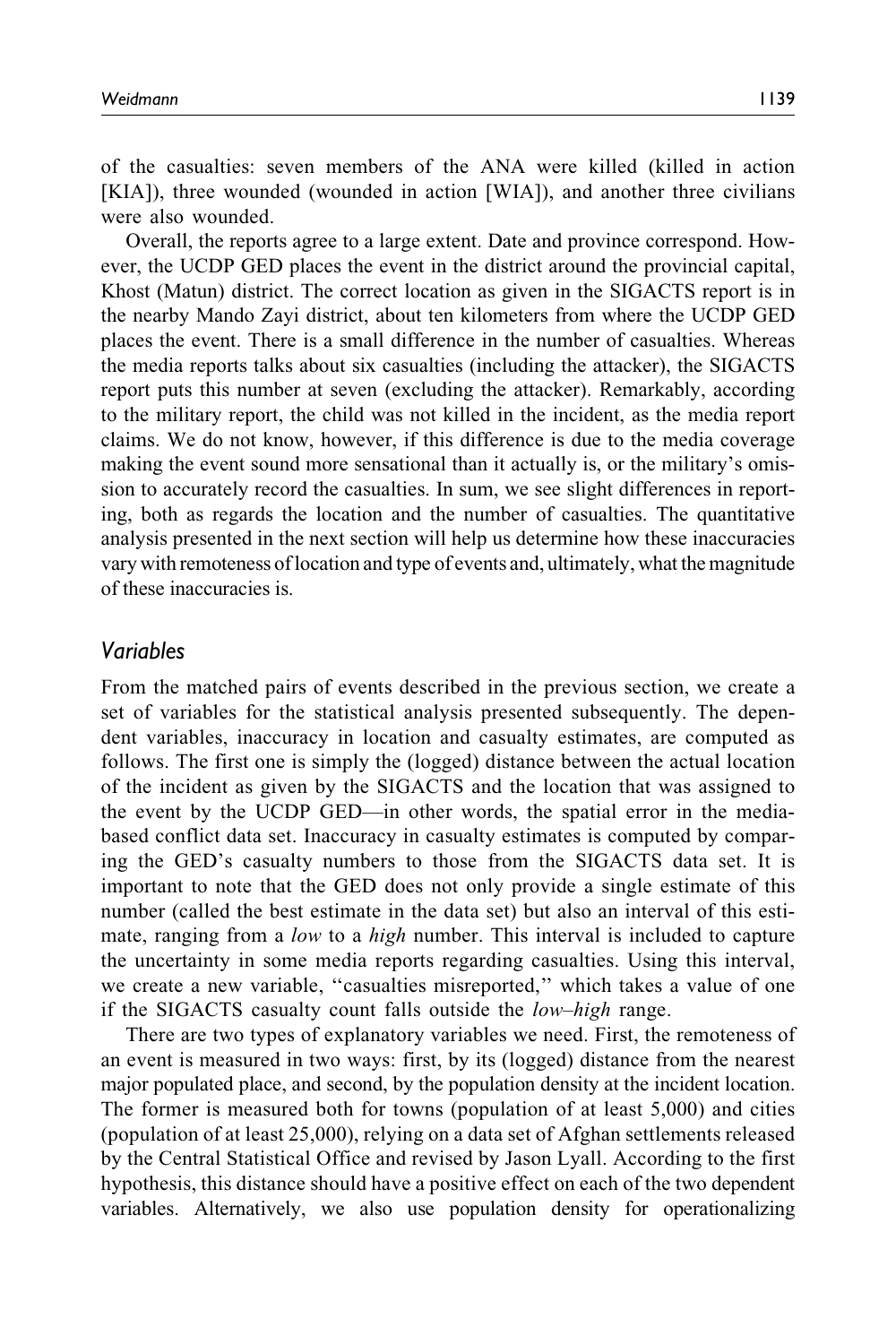of the casualties: seven members of the ANA were killed (killed in action [KIA]), three wounded (wounded in action [WIA]), and another three civilians were also wounded.

Overall, the reports agree to a large extent. Date and province correspond. However, the UCDP GED places the event in the district around the provincial capital, Khost (Matun) district. The correct location as given in the SIGACTS report is in the nearby Mando Zayi district, about ten kilometers from where the UCDP GED places the event. There is a small difference in the number of casualties. Whereas the media reports talks about six casualties (including the attacker), the SIGACTS report puts this number at seven (excluding the attacker). Remarkably, according to the military report, the child was not killed in the incident, as the media report claims. We do not know, however, if this difference is due to the media coverage making the event sound more sensational than it actually is, or the military's omission to accurately record the casualties. In sum, we see slight differences in reporting, both as regards the location and the number of casualties. The quantitative analysis presented in the next section will help us determine how these inaccuracies vary with remoteness of location and type of events and, ultimately, what the magnitude of these inaccuracies is.

### Variables

From the matched pairs of events described in the previous section, we create a set of variables for the statistical analysis presented subsequently. The dependent variables, inaccuracy in location and casualty estimates, are computed as follows. The first one is simply the (logged) distance between the actual location of the incident as given by the SIGACTS and the location that was assigned to the event by the UCDP GED—in other words, the spatial error in the mediabased conflict data set. Inaccuracy in casualty estimates is computed by comparing the GED's casualty numbers to those from the SIGACTS data set. It is important to note that the GED does not only provide a single estimate of this number (called the best estimate in the data set) but also an interval of this estimate, ranging from a low to a high number. This interval is included to capture the uncertainty in some media reports regarding casualties. Using this interval, we create a new variable, "casualties misreported," which takes a value of one if the SIGACTS casualty count falls outside the low–high range.

There are two types of explanatory variables we need. First, the remoteness of an event is measured in two ways: first, by its (logged) distance from the nearest major populated place, and second, by the population density at the incident location. The former is measured both for towns (population of at least 5,000) and cities (population of at least 25,000), relying on a data set of Afghan settlements released by the Central Statistical Office and revised by Jason Lyall. According to the first hypothesis, this distance should have a positive effect on each of the two dependent variables. Alternatively, we also use population density for operationalizing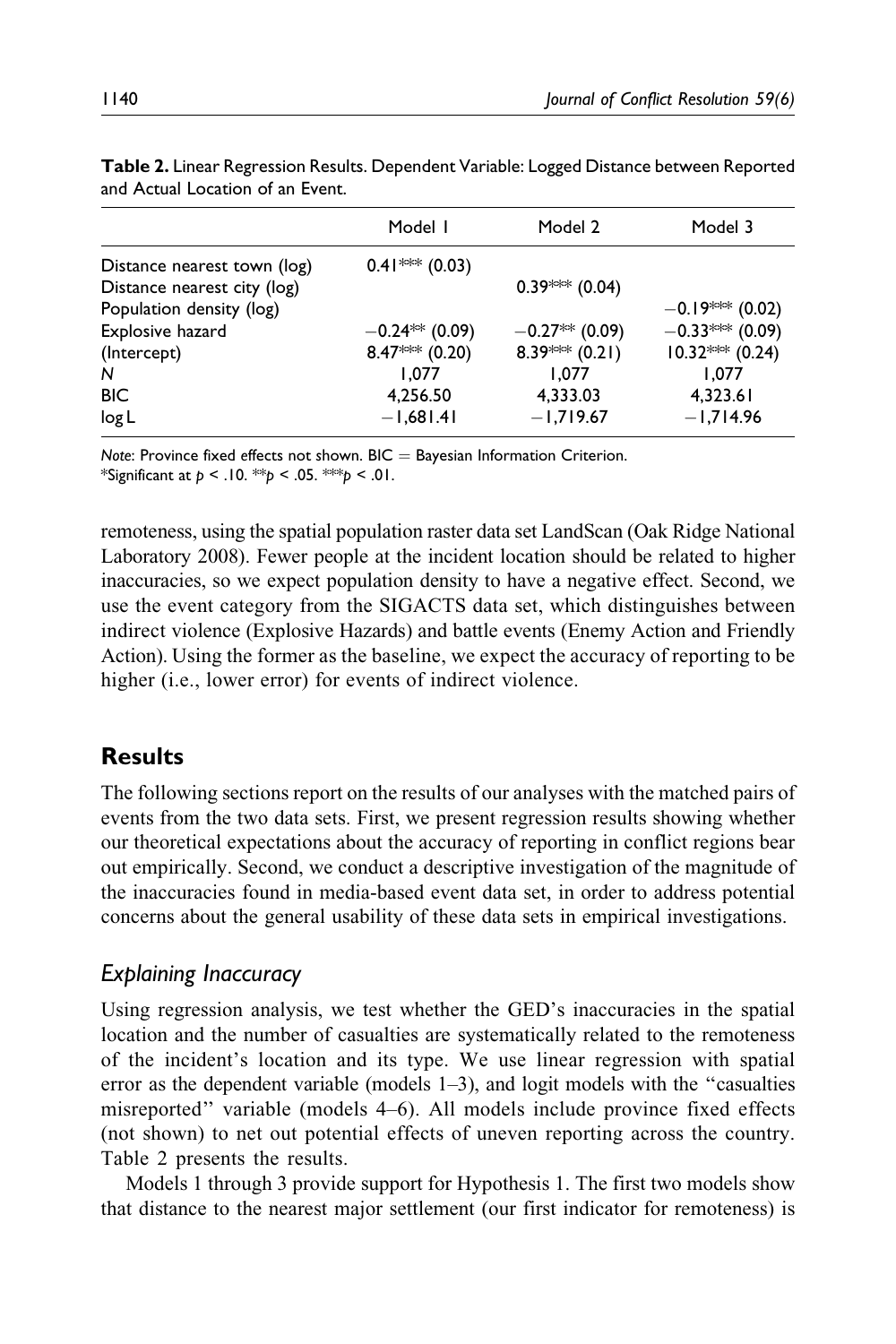|                             | Model I          | Model 2          | Model 3           |
|-----------------------------|------------------|------------------|-------------------|
| Distance nearest town (log) | $0.41*** (0.03)$ |                  |                   |
| Distance nearest city (log) |                  | $0.39***(0.04)$  |                   |
| Population density (log)    |                  |                  | $-0.19***$ (0.02) |
| Explosive hazard            | $-0.24**$ (0.09) | $-0.27**$ (0.09) | $-0.33***$ (0.09) |
| (Intercept)                 | $8.47***$ (0.20) | $8.39*** (0.21)$ | $10.32***(0.24)$  |
| N                           | 1.077            | 1.077            | 1.077             |
| <b>BIC</b>                  | 4,256.50         | 4,333.03         | 4,323.61          |
| log L                       | $-1,68$ .41      | $-1,719.67$      | $-1,714.96$       |

Table 2. Linear Regression Results. Dependent Variable: Logged Distance between Reported and Actual Location of an Event.

Note: Province fixed effects not shown.  $BIC =$  Bayesian Information Criterion. \*Significant at  $p < .10.$  \*\* $p < .05.$  \*\* $p < .01.$ 

remoteness, using the spatial population raster data set LandScan (Oak Ridge National Laboratory 2008). Fewer people at the incident location should be related to higher inaccuracies, so we expect population density to have a negative effect. Second, we use the event category from the SIGACTS data set, which distinguishes between indirect violence (Explosive Hazards) and battle events (Enemy Action and Friendly Action). Using the former as the baseline, we expect the accuracy of reporting to be higher (i.e., lower error) for events of indirect violence.

## **Results**

The following sections report on the results of our analyses with the matched pairs of events from the two data sets. First, we present regression results showing whether our theoretical expectations about the accuracy of reporting in conflict regions bear out empirically. Second, we conduct a descriptive investigation of the magnitude of the inaccuracies found in media-based event data set, in order to address potential concerns about the general usability of these data sets in empirical investigations.

## Explaining Inaccuracy

Using regression analysis, we test whether the GED's inaccuracies in the spatial location and the number of casualties are systematically related to the remoteness of the incident's location and its type. We use linear regression with spatial error as the dependent variable (models 1–3), and logit models with the ''casualties misreported'' variable (models 4–6). All models include province fixed effects (not shown) to net out potential effects of uneven reporting across the country. Table 2 presents the results.

Models 1 through 3 provide support for Hypothesis 1. The first two models show that distance to the nearest major settlement (our first indicator for remoteness) is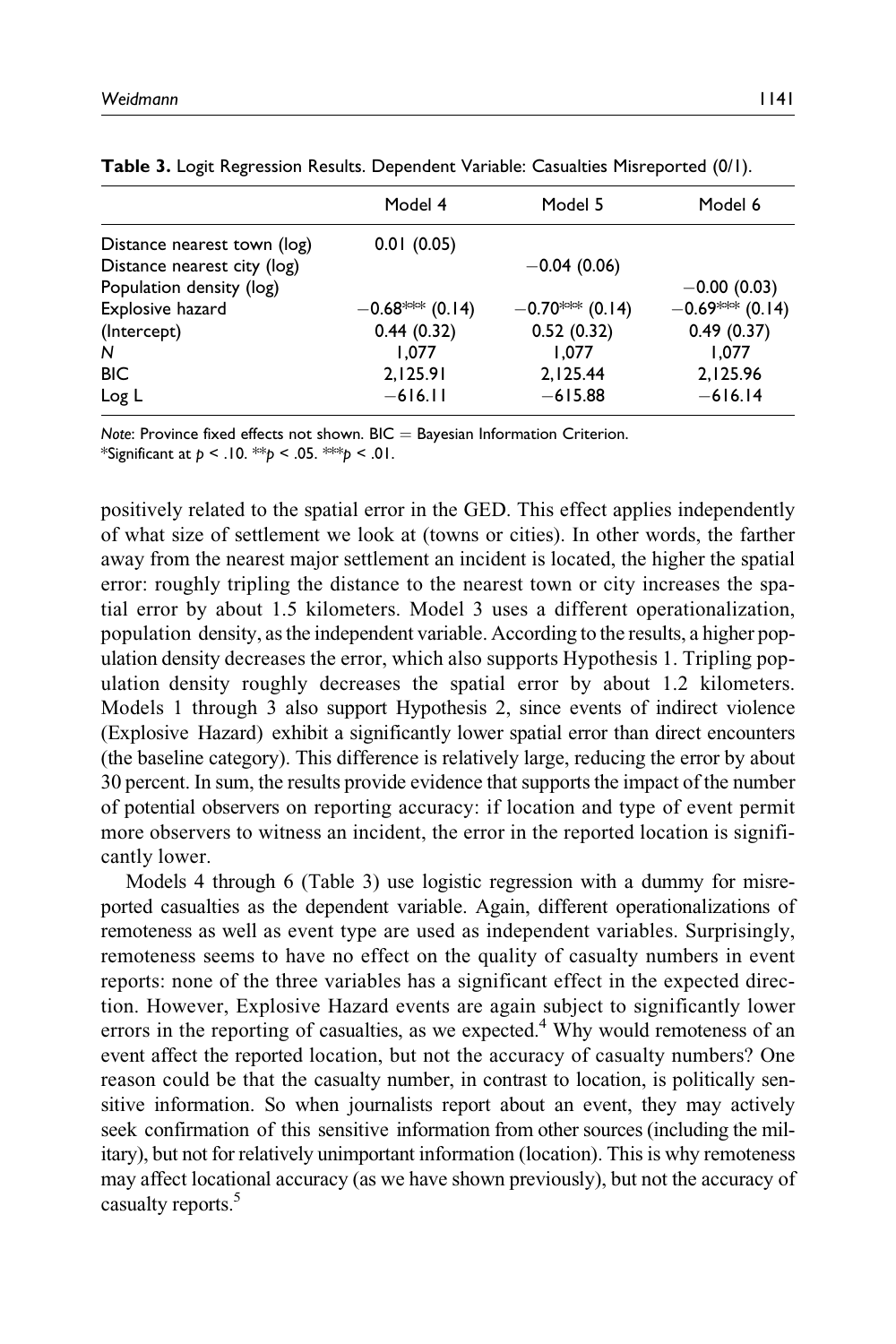|                             | Model 4           | Model 5           | Model 6           |
|-----------------------------|-------------------|-------------------|-------------------|
| Distance nearest town (log) | 0.01(0.05)        |                   |                   |
| Distance nearest city (log) |                   | $-0.04(0.06)$     |                   |
| Population density (log)    |                   |                   | $-0.00(0.03)$     |
| Explosive hazard            | $-0.68***$ (0.14) | $-0.70***$ (0.14) | $-0.69***$ (0.14) |
| (Intercept)                 | 0.44(0.32)        | 0.52(0.32)        | 0.49(0.37)        |
| N                           | 1.077             | 1.077             | 1.077             |
| <b>BIC</b>                  | 2,125.91          | 2,125.44          | 2,125.96          |
| Log L                       | $-616.11$         | $-615.88$         | $-616.14$         |

Table 3. Logit Regression Results. Dependent Variable: Casualties Misreported (0/1).

Note: Province fixed effects not shown.  $BIC =$  Bayesian Information Criterion. \*Significant at  $p < .10$ . \*\* $p < .05$ . \*\*\* $p < .01$ .

positively related to the spatial error in the GED. This effect applies independently of what size of settlement we look at (towns or cities). In other words, the farther away from the nearest major settlement an incident is located, the higher the spatial error: roughly tripling the distance to the nearest town or city increases the spatial error by about 1.5 kilometers. Model 3 uses a different operationalization, population density, as the independent variable. According to the results, a higher population density decreases the error, which also supports Hypothesis 1. Tripling population density roughly decreases the spatial error by about 1.2 kilometers. Models 1 through 3 also support Hypothesis 2, since events of indirect violence (Explosive Hazard) exhibit a significantly lower spatial error than direct encounters (the baseline category). This difference is relatively large, reducing the error by about 30 percent. In sum, the results provide evidence that supports the impact of the number of potential observers on reporting accuracy: if location and type of event permit more observers to witness an incident, the error in the reported location is significantly lower.

Models 4 through 6 (Table 3) use logistic regression with a dummy for misreported casualties as the dependent variable. Again, different operationalizations of remoteness as well as event type are used as independent variables. Surprisingly, remoteness seems to have no effect on the quality of casualty numbers in event reports: none of the three variables has a significant effect in the expected direction. However, Explosive Hazard events are again subject to significantly lower errors in the reporting of casualties, as we expected. $4$  Why would remoteness of an event affect the reported location, but not the accuracy of casualty numbers? One reason could be that the casualty number, in contrast to location, is politically sensitive information. So when journalists report about an event, they may actively seek confirmation of this sensitive information from other sources (including the military), but not for relatively unimportant information (location). This is why remoteness may affect locational accuracy (as we have shown previously), but not the accuracy of casualty reports.<sup>5</sup>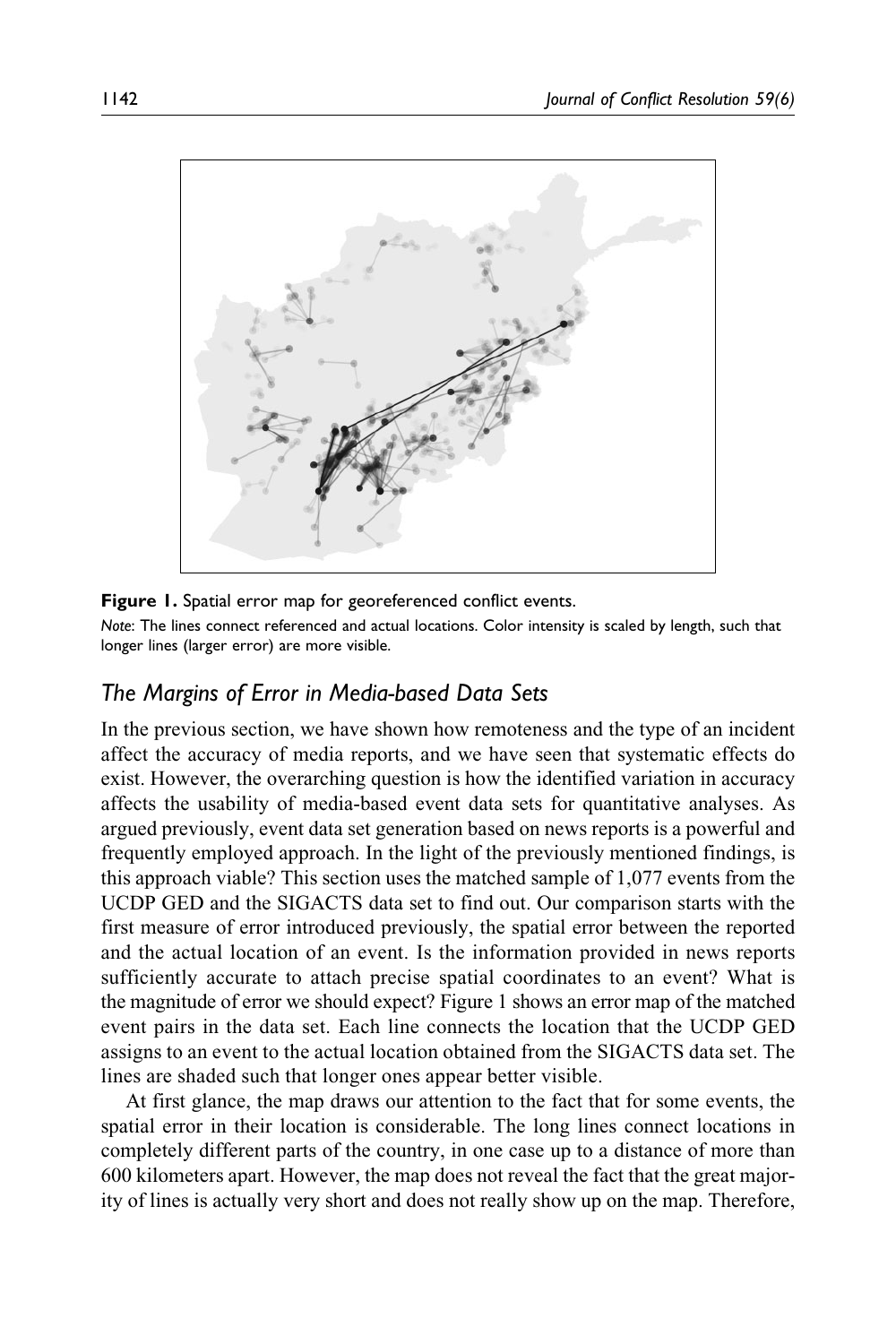

Figure 1. Spatial error map for georeferenced conflict events.

Note: The lines connect referenced and actual locations. Color intensity is scaled by length, such that longer lines (larger error) are more visible.

## The Margins of Error in Media-based Data Sets

In the previous section, we have shown how remoteness and the type of an incident affect the accuracy of media reports, and we have seen that systematic effects do exist. However, the overarching question is how the identified variation in accuracy affects the usability of media-based event data sets for quantitative analyses. As argued previously, event data set generation based on news reports is a powerful and frequently employed approach. In the light of the previously mentioned findings, is this approach viable? This section uses the matched sample of 1,077 events from the UCDP GED and the SIGACTS data set to find out. Our comparison starts with the first measure of error introduced previously, the spatial error between the reported and the actual location of an event. Is the information provided in news reports sufficiently accurate to attach precise spatial coordinates to an event? What is the magnitude of error we should expect? Figure 1 shows an error map of the matched event pairs in the data set. Each line connects the location that the UCDP GED assigns to an event to the actual location obtained from the SIGACTS data set. The lines are shaded such that longer ones appear better visible.

At first glance, the map draws our attention to the fact that for some events, the spatial error in their location is considerable. The long lines connect locations in completely different parts of the country, in one case up to a distance of more than 600 kilometers apart. However, the map does not reveal the fact that the great majority of lines is actually very short and does not really show up on the map. Therefore,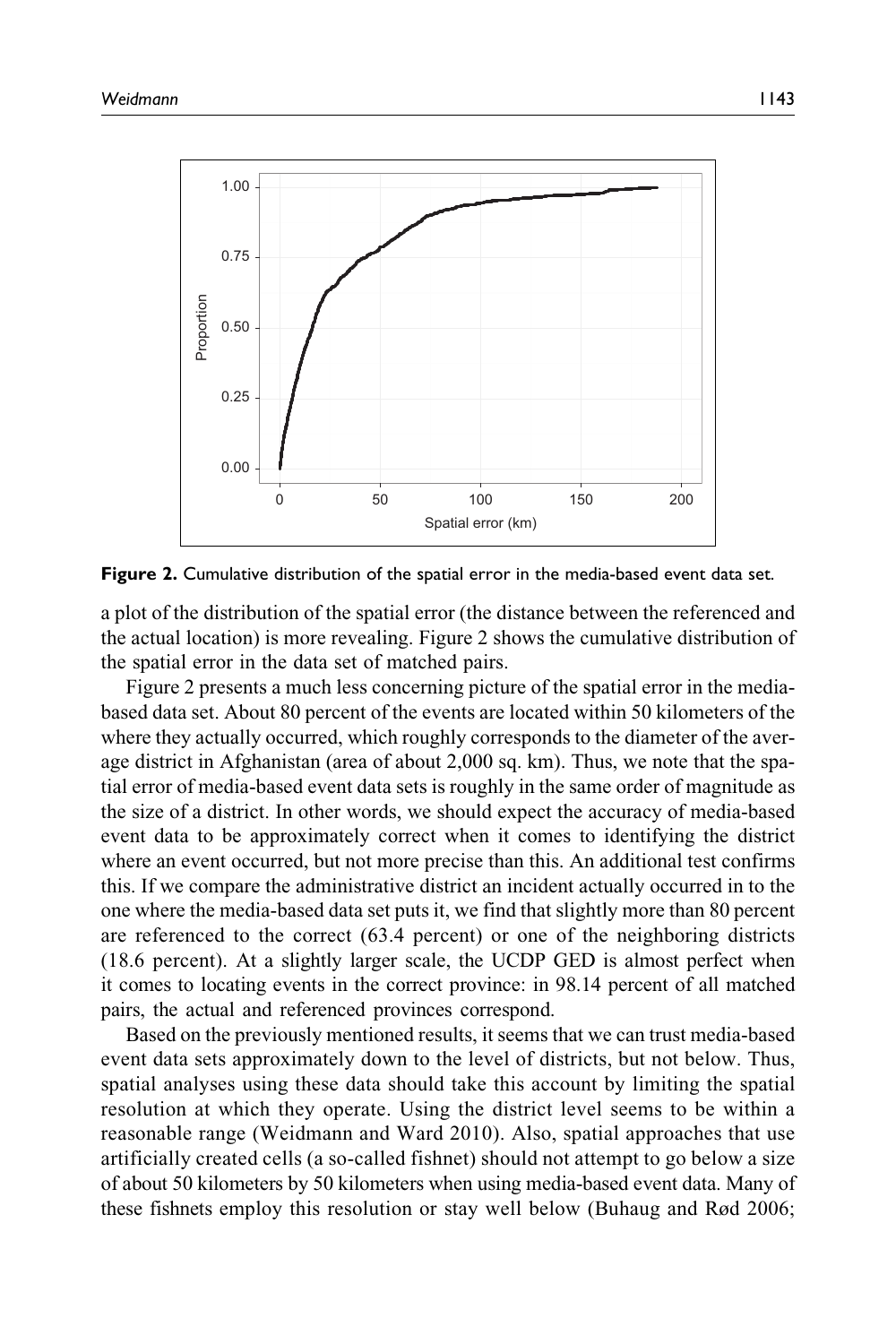

Figure 2. Cumulative distribution of the spatial error in the media-based event data set.

a plot of the distribution of the spatial error (the distance between the referenced and the actual location) is more revealing. Figure 2 shows the cumulative distribution of the spatial error in the data set of matched pairs.

Figure 2 presents a much less concerning picture of the spatial error in the mediabased data set. About 80 percent of the events are located within 50 kilometers of the where they actually occurred, which roughly corresponds to the diameter of the average district in Afghanistan (area of about 2,000 sq. km). Thus, we note that the spatial error of media-based event data sets is roughly in the same order of magnitude as the size of a district. In other words, we should expect the accuracy of media-based event data to be approximately correct when it comes to identifying the district where an event occurred, but not more precise than this. An additional test confirms this. If we compare the administrative district an incident actually occurred in to the one where the media-based data set puts it, we find that slightly more than 80 percent are referenced to the correct (63.4 percent) or one of the neighboring districts (18.6 percent). At a slightly larger scale, the UCDP GED is almost perfect when it comes to locating events in the correct province: in 98.14 percent of all matched pairs, the actual and referenced provinces correspond.

Based on the previously mentioned results, it seems that we can trust media-based event data sets approximately down to the level of districts, but not below. Thus, spatial analyses using these data should take this account by limiting the spatial resolution at which they operate. Using the district level seems to be within a reasonable range (Weidmann and Ward 2010). Also, spatial approaches that use artificially created cells (a so-called fishnet) should not attempt to go below a size of about 50 kilometers by 50 kilometers when using media-based event data. Many of these fishnets employ this resolution or stay well below (Buhaug and Rød 2006;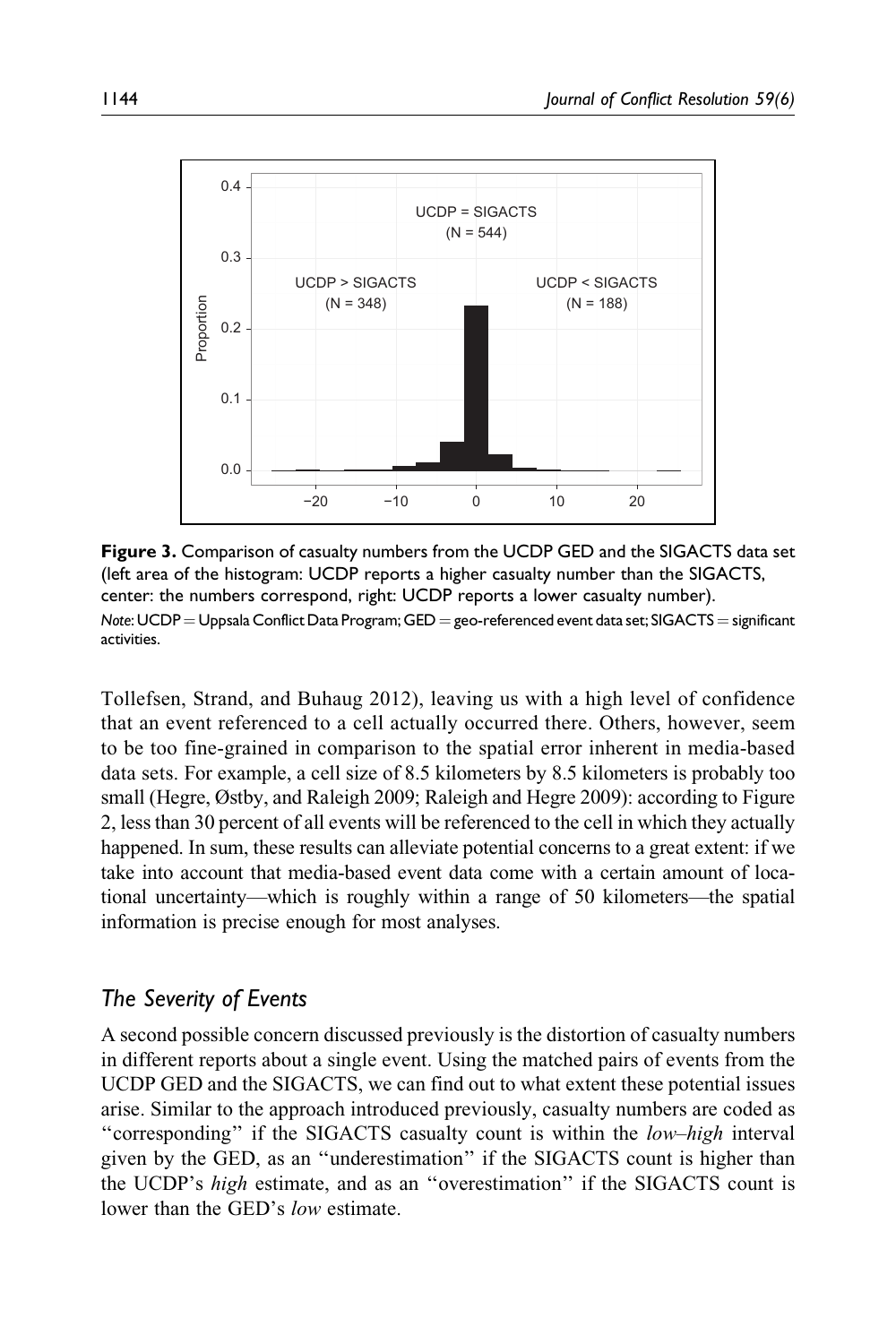

Figure 3. Comparison of casualty numbers from the UCDP GED and the SIGACTS data set (left area of the histogram: UCDP reports a higher casualty number than the SIGACTS, center: the numbers correspond, right: UCDP reports a lower casualty number). Note:  $UCDP = Upps$ ala Conflict Data Program; GED = geo-referenced event data set; SIGACTS = significant activities.

Tollefsen, Strand, and Buhaug 2012), leaving us with a high level of confidence that an event referenced to a cell actually occurred there. Others, however, seem to be too fine-grained in comparison to the spatial error inherent in media-based data sets. For example, a cell size of 8.5 kilometers by 8.5 kilometers is probably too small (Hegre, Østby, and Raleigh 2009; Raleigh and Hegre 2009): according to Figure 2, less than 30 percent of all events will be referenced to the cell in which they actually happened. In sum, these results can alleviate potential concerns to a great extent: if we take into account that media-based event data come with a certain amount of locational uncertainty—which is roughly within a range of 50 kilometers—the spatial information is precise enough for most analyses.

## The Severity of Events

A second possible concern discussed previously is the distortion of casualty numbers in different reports about a single event. Using the matched pairs of events from the UCDP GED and the SIGACTS, we can find out to what extent these potential issues arise. Similar to the approach introduced previously, casualty numbers are coded as "corresponding" if the SIGACTS casualty count is within the low–high interval given by the GED, as an ''underestimation'' if the SIGACTS count is higher than the UCDP's high estimate, and as an ''overestimation'' if the SIGACTS count is lower than the GED's low estimate.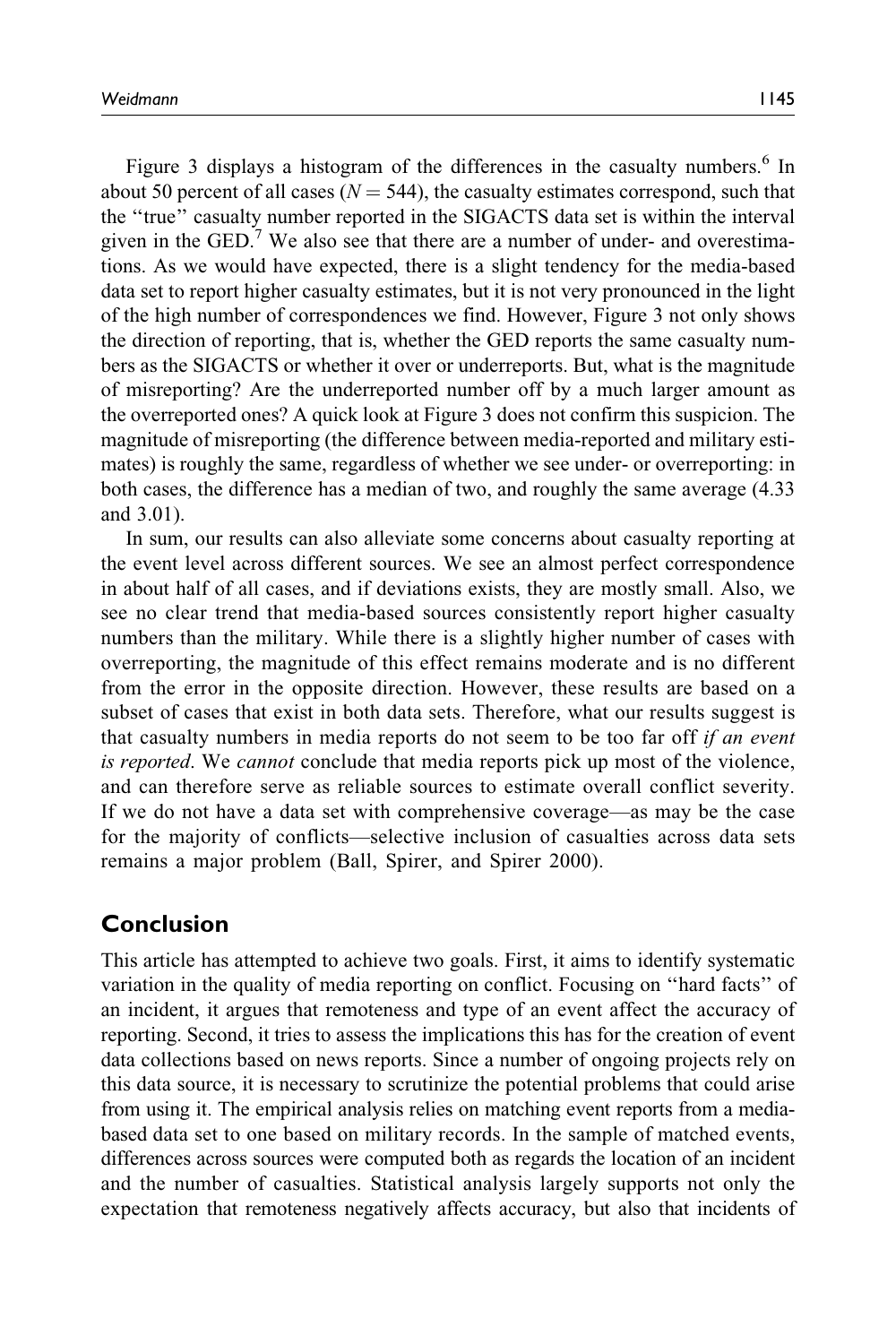Figure 3 displays a histogram of the differences in the casualty numbers.<sup>6</sup> In about 50 percent of all cases ( $N = 544$ ), the casualty estimates correspond, such that the ''true'' casualty number reported in the SIGACTS data set is within the interval given in the  $GED$ .<sup>7</sup> We also see that there are a number of under- and overestimations. As we would have expected, there is a slight tendency for the media-based data set to report higher casualty estimates, but it is not very pronounced in the light of the high number of correspondences we find. However, Figure 3 not only shows the direction of reporting, that is, whether the GED reports the same casualty numbers as the SIGACTS or whether it over or underreports. But, what is the magnitude of misreporting? Are the underreported number off by a much larger amount as the overreported ones? A quick look at Figure 3 does not confirm this suspicion. The magnitude of misreporting (the difference between media-reported and military estimates) is roughly the same, regardless of whether we see under- or overreporting: in both cases, the difference has a median of two, and roughly the same average (4.33 and 3.01).

In sum, our results can also alleviate some concerns about casualty reporting at the event level across different sources. We see an almost perfect correspondence in about half of all cases, and if deviations exists, they are mostly small. Also, we see no clear trend that media-based sources consistently report higher casualty numbers than the military. While there is a slightly higher number of cases with overreporting, the magnitude of this effect remains moderate and is no different from the error in the opposite direction. However, these results are based on a subset of cases that exist in both data sets. Therefore, what our results suggest is that casualty numbers in media reports do not seem to be too far off if an event is reported. We cannot conclude that media reports pick up most of the violence, and can therefore serve as reliable sources to estimate overall conflict severity. If we do not have a data set with comprehensive coverage—as may be the case for the majority of conflicts—selective inclusion of casualties across data sets remains a major problem (Ball, Spirer, and Spirer 2000).

# Conclusion

This article has attempted to achieve two goals. First, it aims to identify systematic variation in the quality of media reporting on conflict. Focusing on ''hard facts'' of an incident, it argues that remoteness and type of an event affect the accuracy of reporting. Second, it tries to assess the implications this has for the creation of event data collections based on news reports. Since a number of ongoing projects rely on this data source, it is necessary to scrutinize the potential problems that could arise from using it. The empirical analysis relies on matching event reports from a mediabased data set to one based on military records. In the sample of matched events, differences across sources were computed both as regards the location of an incident and the number of casualties. Statistical analysis largely supports not only the expectation that remoteness negatively affects accuracy, but also that incidents of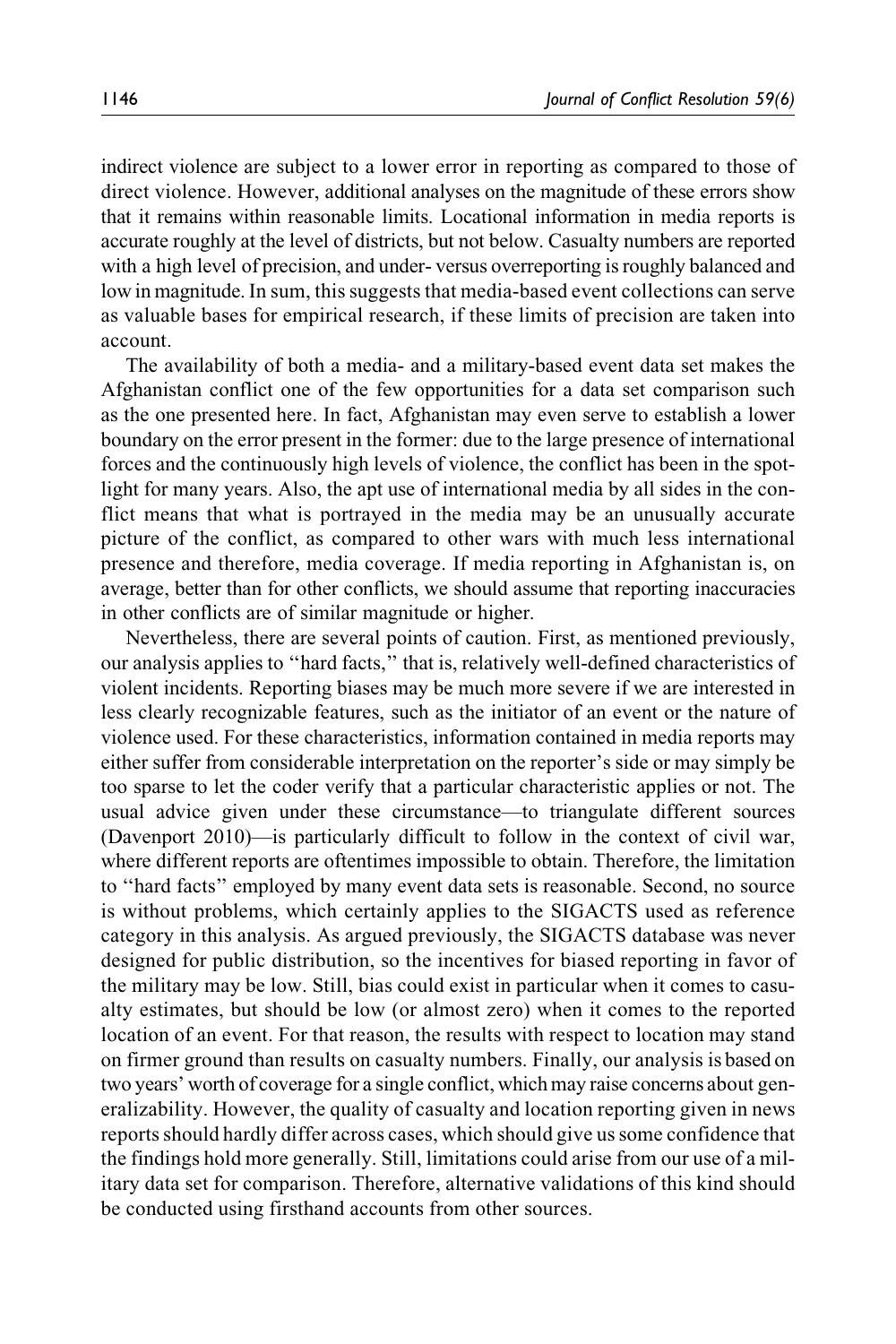indirect violence are subject to a lower error in reporting as compared to those of direct violence. However, additional analyses on the magnitude of these errors show that it remains within reasonable limits. Locational information in media reports is accurate roughly at the level of districts, but not below. Casualty numbers are reported with a high level of precision, and under- versus overreporting is roughly balanced and low in magnitude. In sum, this suggests that media-based event collections can serve as valuable bases for empirical research, if these limits of precision are taken into account.

The availability of both a media- and a military-based event data set makes the Afghanistan conflict one of the few opportunities for a data set comparison such as the one presented here. In fact, Afghanistan may even serve to establish a lower boundary on the error present in the former: due to the large presence of international forces and the continuously high levels of violence, the conflict has been in the spotlight for many years. Also, the apt use of international media by all sides in the conflict means that what is portrayed in the media may be an unusually accurate picture of the conflict, as compared to other wars with much less international presence and therefore, media coverage. If media reporting in Afghanistan is, on average, better than for other conflicts, we should assume that reporting inaccuracies in other conflicts are of similar magnitude or higher.

Nevertheless, there are several points of caution. First, as mentioned previously, our analysis applies to ''hard facts,'' that is, relatively well-defined characteristics of violent incidents. Reporting biases may be much more severe if we are interested in less clearly recognizable features, such as the initiator of an event or the nature of violence used. For these characteristics, information contained in media reports may either suffer from considerable interpretation on the reporter's side or may simply be too sparse to let the coder verify that a particular characteristic applies or not. The usual advice given under these circumstance—to triangulate different sources (Davenport 2010)—is particularly difficult to follow in the context of civil war, where different reports are oftentimes impossible to obtain. Therefore, the limitation to ''hard facts'' employed by many event data sets is reasonable. Second, no source is without problems, which certainly applies to the SIGACTS used as reference category in this analysis. As argued previously, the SIGACTS database was never designed for public distribution, so the incentives for biased reporting in favor of the military may be low. Still, bias could exist in particular when it comes to casualty estimates, but should be low (or almost zero) when it comes to the reported location of an event. For that reason, the results with respect to location may stand on firmer ground than results on casualty numbers. Finally, our analysis is based on two years' worth of coverage for a single conflict, which may raise concerns about generalizability. However, the quality of casualty and location reporting given in news reports should hardly differ across cases, which should give us some confidence that the findings hold more generally. Still, limitations could arise from our use of a military data set for comparison. Therefore, alternative validations of this kind should be conducted using firsthand accounts from other sources.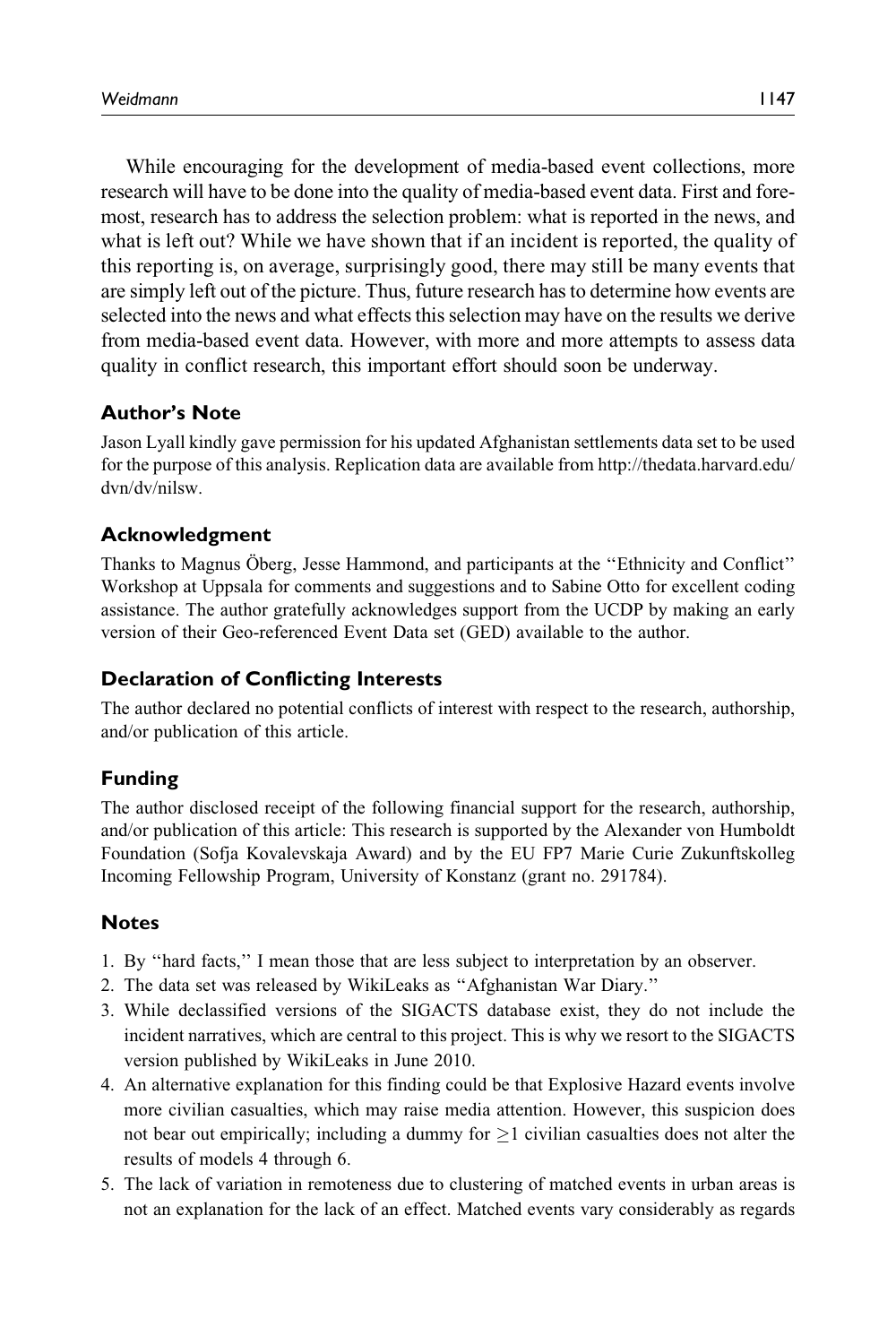While encouraging for the development of media-based event collections, more research will have to be done into the quality of media-based event data. First and foremost, research has to address the selection problem: what is reported in the news, and what is left out? While we have shown that if an incident is reported, the quality of this reporting is, on average, surprisingly good, there may still be many events that are simply left out of the picture. Thus, future research has to determine how events are selected into the news and what effects this selection may have on the results we derive from media-based event data. However, with more and more attempts to assess data quality in conflict research, this important effort should soon be underway.

## Author's Note

Jason Lyall kindly gave permission for his updated Afghanistan settlements data set to be used for the purpose of this analysis. Replication data are available from http://thedata.harvard.edu/ dvn/dv/nilsw.

## Acknowledgment

Thanks to Magnus Öberg, Jesse Hammond, and participants at the "Ethnicity and Conflict" Workshop at Uppsala for comments and suggestions and to Sabine Otto for excellent coding assistance. The author gratefully acknowledges support from the UCDP by making an early version of their Geo-referenced Event Data set (GED) available to the author.

## Declaration of Conflicting Interests

The author declared no potential conflicts of interest with respect to the research, authorship, and/or publication of this article.

#### Funding

The author disclosed receipt of the following financial support for the research, authorship, and/or publication of this article: This research is supported by the Alexander von Humboldt Foundation (Sofja Kovalevskaja Award) and by the EU FP7 Marie Curie Zukunftskolleg Incoming Fellowship Program, University of Konstanz (grant no. 291784).

## **Notes**

- 1. By ''hard facts,'' I mean those that are less subject to interpretation by an observer.
- 2. The data set was released by WikiLeaks as ''Afghanistan War Diary.''
- 3. While declassified versions of the SIGACTS database exist, they do not include the incident narratives, which are central to this project. This is why we resort to the SIGACTS version published by WikiLeaks in June 2010.
- 4. An alternative explanation for this finding could be that Explosive Hazard events involve more civilian casualties, which may raise media attention. However, this suspicion does not bear out empirically; including a dummy for  $\geq 1$  civilian casualties does not alter the results of models 4 through 6.
- 5. The lack of variation in remoteness due to clustering of matched events in urban areas is not an explanation for the lack of an effect. Matched events vary considerably as regards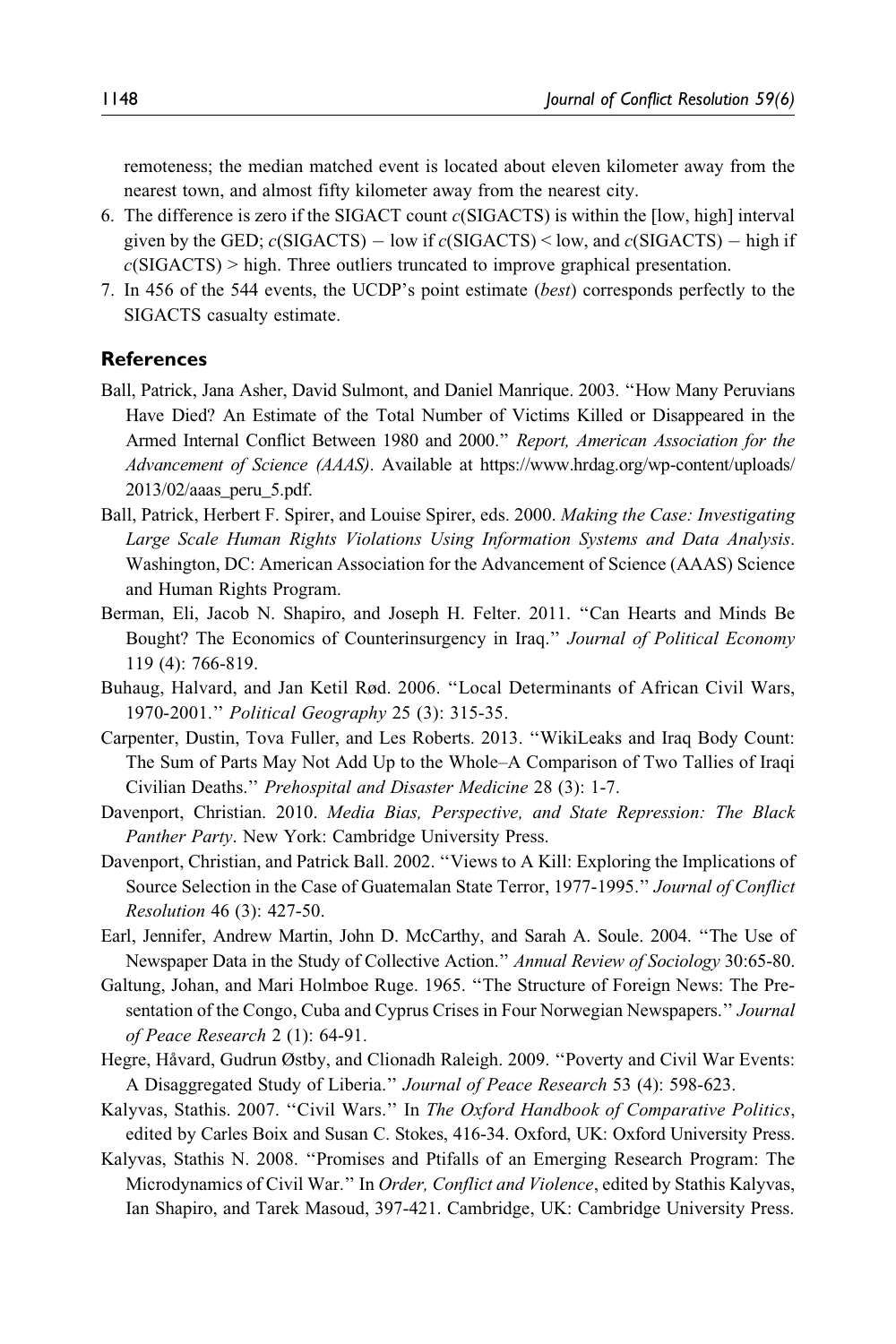remoteness; the median matched event is located about eleven kilometer away from the nearest town, and almost fifty kilometer away from the nearest city.

- 6. The difference is zero if the SIGACT count c(SIGACTS) is within the [low, high] interval given by the GED;  $c(SIGACTS)$  – low if  $c(SIGACTS)$  < low, and  $c(SIGACTS)$  – high if  $c(SIGACTS)$  > high. Three outliers truncated to improve graphical presentation.
- 7. In 456 of the 544 events, the UCDP's point estimate (best) corresponds perfectly to the SIGACTS casualty estimate.

#### References

- Ball, Patrick, Jana Asher, David Sulmont, and Daniel Manrique. 2003. ''How Many Peruvians Have Died? An Estimate of the Total Number of Victims Killed or Disappeared in the Armed Internal Conflict Between 1980 and 2000.'' Report, American Association for the Advancement of Science (AAAS). Available at [https://www.hrdag.org/wp-content/uploads/](https://www.hrdag.org/wp-content/uploads/2013/02/aaas_peru_5.pdf.) [2013/02/aaas\\_peru\\_5.pdf.](https://www.hrdag.org/wp-content/uploads/2013/02/aaas_peru_5.pdf.)
- Ball, Patrick, Herbert F. Spirer, and Louise Spirer, eds. 2000. Making the Case: Investigating Large Scale Human Rights Violations Using Information Systems and Data Analysis. Washington, DC: American Association for the Advancement of Science (AAAS) Science and Human Rights Program.
- Berman, Eli, Jacob N. Shapiro, and Joseph H. Felter. 2011. ''Can Hearts and Minds Be Bought? The Economics of Counterinsurgency in Iraq.'' Journal of Political Economy 119 (4): 766-819.
- Buhaug, Halvard, and Jan Ketil Rød. 2006. ''Local Determinants of African Civil Wars, 1970-2001.'' Political Geography 25 (3): 315-35.
- Carpenter, Dustin, Tova Fuller, and Les Roberts. 2013. ''WikiLeaks and Iraq Body Count: The Sum of Parts May Not Add Up to the Whole–A Comparison of Two Tallies of Iraqi Civilian Deaths.'' Prehospital and Disaster Medicine 28 (3): 1-7.
- Davenport, Christian. 2010. Media Bias, Perspective, and State Repression: The Black Panther Party. New York: Cambridge University Press.
- Davenport, Christian, and Patrick Ball. 2002. ''Views to A Kill: Exploring the Implications of Source Selection in the Case of Guatemalan State Terror, 1977-1995.'' Journal of Conflict Resolution 46 (3): 427-50.
- Earl, Jennifer, Andrew Martin, John D. McCarthy, and Sarah A. Soule. 2004. ''The Use of Newspaper Data in the Study of Collective Action." Annual Review of Sociology 30:65-80.
- Galtung, Johan, and Mari Holmboe Ruge. 1965. ''The Structure of Foreign News: The Presentation of the Congo, Cuba and Cyprus Crises in Four Norwegian Newspapers." Journal of Peace Research 2 (1): 64-91.
- Hegre, Håvard, Gudrun Østby, and Clionadh Raleigh. 2009. "Poverty and Civil War Events: A Disaggregated Study of Liberia.'' Journal of Peace Research 53 (4): 598-623.
- Kalyvas, Stathis. 2007. "Civil Wars." In The Oxford Handbook of Comparative Politics, edited by Carles Boix and Susan C. Stokes, 416-34. Oxford, UK: Oxford University Press.
- Kalyvas, Stathis N. 2008. ''Promises and Ptifalls of an Emerging Research Program: The Microdynamics of Civil War." In Order, Conflict and Violence, edited by Stathis Kalyvas, Ian Shapiro, and Tarek Masoud, 397-421. Cambridge, UK: Cambridge University Press.